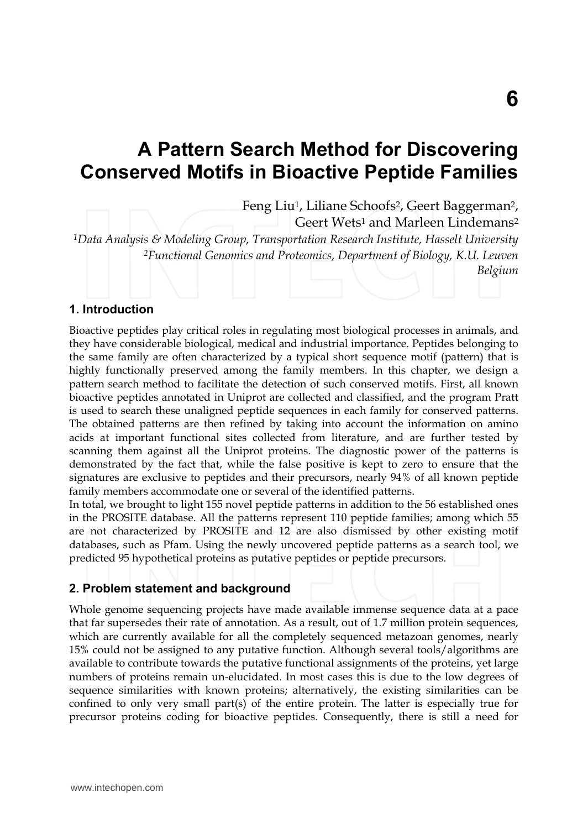# **A Pattern Search Method for Discovering Conserved Motifs in Bioactive Peptide Families**

Feng Liu1, Liliane Schoofs2, Geert Baggerman2,

Geert Wets<sup>1</sup> and Marleen Lindemans<sup>2</sup>

*<sup>1</sup>Data Analysis & Modeling Group, Transportation Research Institute, Hasselt University <sup>2</sup>Functional Genomics and Proteomics, Department of Biology, K.U. Leuven Belgium* 

## **1. Introduction**

Bioactive peptides play critical roles in regulating most biological processes in animals, and they have considerable biological, medical and industrial importance. Peptides belonging to the same family are often characterized by a typical short sequence motif (pattern) that is highly functionally preserved among the family members. In this chapter, we design a pattern search method to facilitate the detection of such conserved motifs. First, all known bioactive peptides annotated in Uniprot are collected and classified, and the program Pratt is used to search these unaligned peptide sequences in each family for conserved patterns. The obtained patterns are then refined by taking into account the information on amino acids at important functional sites collected from literature, and are further tested by scanning them against all the Uniprot proteins. The diagnostic power of the patterns is demonstrated by the fact that, while the false positive is kept to zero to ensure that the signatures are exclusive to peptides and their precursors, nearly 94% of all known peptide family members accommodate one or several of the identified patterns.

In total, we brought to light 155 novel peptide patterns in addition to the 56 established ones in the PROSITE database. All the patterns represent 110 peptide families; among which 55 are not characterized by PROSITE and 12 are also dismissed by other existing motif databases, such as Pfam. Using the newly uncovered peptide patterns as a search tool, we predicted 95 hypothetical proteins as putative peptides or peptide precursors.

## **2. Problem statement and background**

Whole genome sequencing projects have made available immense sequence data at a pace that far supersedes their rate of annotation. As a result, out of 1.7 million protein sequences, which are currently available for all the completely sequenced metazoan genomes, nearly 15% could not be assigned to any putative function. Although several tools/algorithms are available to contribute towards the putative functional assignments of the proteins, yet large numbers of proteins remain un-elucidated. In most cases this is due to the low degrees of sequence similarities with known proteins; alternatively, the existing similarities can be confined to only very small part(s) of the entire protein. The latter is especially true for precursor proteins coding for bioactive peptides. Consequently, there is still a need for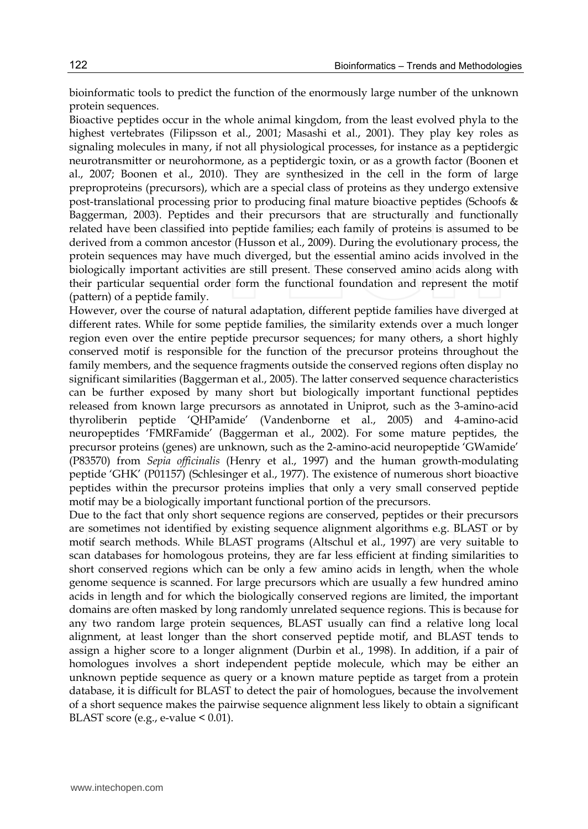bioinformatic tools to predict the function of the enormously large number of the unknown protein sequences.

Bioactive peptides occur in the whole animal kingdom, from the least evolved phyla to the highest vertebrates (Filipsson et al., 2001; Masashi et al., 2001). They play key roles as signaling molecules in many, if not all physiological processes, for instance as a peptidergic neurotransmitter or neurohormone, as a peptidergic toxin, or as a growth factor (Boonen et al., 2007; Boonen et al., 2010). They are synthesized in the cell in the form of large preproproteins (precursors), which are a special class of proteins as they undergo extensive post-translational processing prior to producing final mature bioactive peptides (Schoofs & Baggerman, 2003). Peptides and their precursors that are structurally and functionally related have been classified into peptide families; each family of proteins is assumed to be derived from a common ancestor (Husson et al., 2009). During the evolutionary process, the protein sequences may have much diverged, but the essential amino acids involved in the biologically important activities are still present. These conserved amino acids along with their particular sequential order form the functional foundation and represent the motif (pattern) of a peptide family.

However, over the course of natural adaptation, different peptide families have diverged at different rates. While for some peptide families, the similarity extends over a much longer region even over the entire peptide precursor sequences; for many others, a short highly conserved motif is responsible for the function of the precursor proteins throughout the family members, and the sequence fragments outside the conserved regions often display no significant similarities (Baggerman et al., 2005). The latter conserved sequence characteristics can be further exposed by many short but biologically important functional peptides released from known large precursors as annotated in Uniprot, such as the 3-amino-acid thyroliberin peptide 'QHPamide' (Vandenborne et al., 2005) and 4-amino-acid neuropeptides 'FMRFamide' (Baggerman et al., 2002). For some mature peptides, the precursor proteins (genes) are unknown, such as the 2-amino-acid neuropeptide 'GWamide' (P83570) from *Sepia officinalis* (Henry et al., 1997) and the human growth-modulating peptide 'GHK' (P01157) (Schlesinger et al., 1977). The existence of numerous short bioactive peptides within the precursor proteins implies that only a very small conserved peptide motif may be a biologically important functional portion of the precursors.

Due to the fact that only short sequence regions are conserved, peptides or their precursors are sometimes not identified by existing sequence alignment algorithms e.g. BLAST or by motif search methods. While BLAST programs (Altschul et al., 1997) are very suitable to scan databases for homologous proteins, they are far less efficient at finding similarities to short conserved regions which can be only a few amino acids in length, when the whole genome sequence is scanned. For large precursors which are usually a few hundred amino acids in length and for which the biologically conserved regions are limited, the important domains are often masked by long randomly unrelated sequence regions. This is because for any two random large protein sequences, BLAST usually can find a relative long local alignment, at least longer than the short conserved peptide motif, and BLAST tends to assign a higher score to a longer alignment (Durbin et al., 1998). In addition, if a pair of homologues involves a short independent peptide molecule, which may be either an unknown peptide sequence as query or a known mature peptide as target from a protein database, it is difficult for BLAST to detect the pair of homologues, because the involvement of a short sequence makes the pairwise sequence alignment less likely to obtain a significant BLAST score (e.g., e-value  $< 0.01$ ).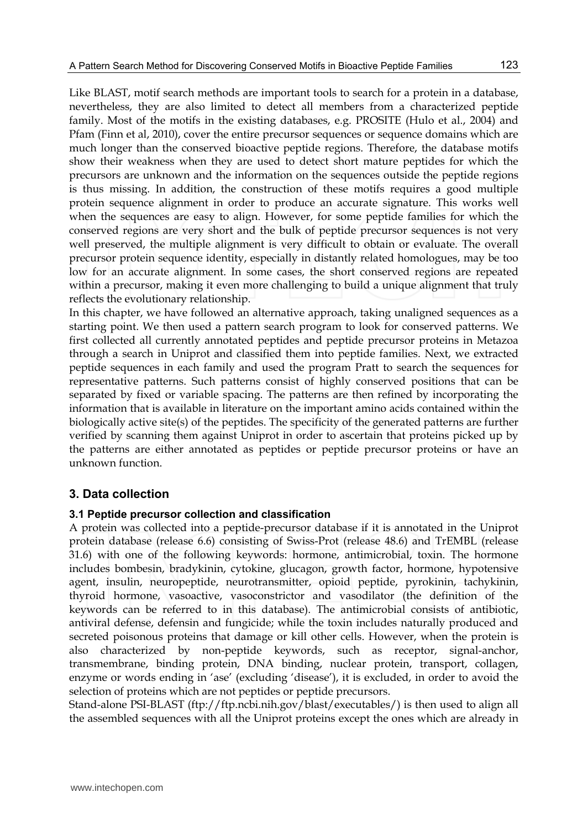Like BLAST, motif search methods are important tools to search for a protein in a database, nevertheless, they are also limited to detect all members from a characterized peptide family. Most of the motifs in the existing databases, e.g. PROSITE (Hulo et al., 2004) and Pfam (Finn et al, 2010), cover the entire precursor sequences or sequence domains which are much longer than the conserved bioactive peptide regions. Therefore, the database motifs show their weakness when they are used to detect short mature peptides for which the precursors are unknown and the information on the sequences outside the peptide regions is thus missing. In addition, the construction of these motifs requires a good multiple protein sequence alignment in order to produce an accurate signature. This works well when the sequences are easy to align. However, for some peptide families for which the conserved regions are very short and the bulk of peptide precursor sequences is not very well preserved, the multiple alignment is very difficult to obtain or evaluate. The overall precursor protein sequence identity, especially in distantly related homologues, may be too low for an accurate alignment. In some cases, the short conserved regions are repeated within a precursor, making it even more challenging to build a unique alignment that truly reflects the evolutionary relationship.

In this chapter, we have followed an alternative approach, taking unaligned sequences as a starting point. We then used a pattern search program to look for conserved patterns. We first collected all currently annotated peptides and peptide precursor proteins in Metazoa through a search in Uniprot and classified them into peptide families. Next, we extracted peptide sequences in each family and used the program Pratt to search the sequences for representative patterns. Such patterns consist of highly conserved positions that can be separated by fixed or variable spacing. The patterns are then refined by incorporating the information that is available in literature on the important amino acids contained within the biologically active site(s) of the peptides. The specificity of the generated patterns are further verified by scanning them against Uniprot in order to ascertain that proteins picked up by the patterns are either annotated as peptides or peptide precursor proteins or have an unknown function.

## **3. Data collection**

## **3.1 Peptide precursor collection and classification**

A protein was collected into a peptide-precursor database if it is annotated in the Uniprot protein database (release 6.6) consisting of Swiss-Prot (release 48.6) and TrEMBL (release 31.6) with one of the following keywords: hormone, antimicrobial, toxin. The hormone includes bombesin, bradykinin, cytokine, glucagon, growth factor, hormone, hypotensive agent, insulin, neuropeptide, neurotransmitter, opioid peptide, pyrokinin, tachykinin, thyroid hormone, vasoactive, vasoconstrictor and vasodilator (the definition of the keywords can be referred to in this database). The antimicrobial consists of antibiotic, antiviral defense, defensin and fungicide; while the toxin includes naturally produced and secreted poisonous proteins that damage or kill other cells. However, when the protein is also characterized by non-peptide keywords, such as receptor, signal-anchor, transmembrane, binding protein, DNA binding, nuclear protein, transport, collagen, enzyme or words ending in 'ase' (excluding 'disease'), it is excluded, in order to avoid the selection of proteins which are not peptides or peptide precursors.

Stand-alone PSI-BLAST (ftp://ftp.ncbi.nih.gov/blast/executables/) is then used to align all the assembled sequences with all the Uniprot proteins except the ones which are already in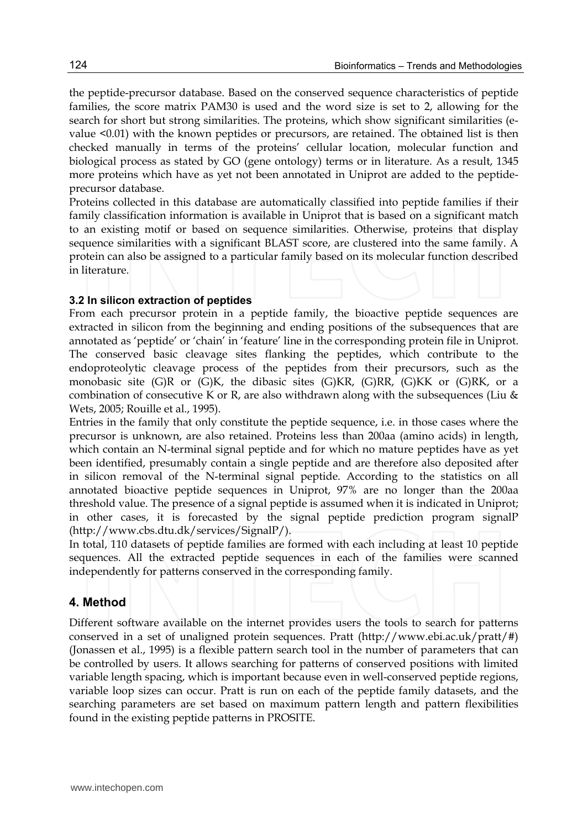the peptide-precursor database. Based on the conserved sequence characteristics of peptide families, the score matrix PAM30 is used and the word size is set to 2, allowing for the search for short but strong similarities. The proteins, which show significant similarities (evalue <0.01) with the known peptides or precursors, are retained. The obtained list is then checked manually in terms of the proteins' cellular location, molecular function and biological process as stated by GO (gene ontology) terms or in literature. As a result, 1345 more proteins which have as yet not been annotated in Uniprot are added to the peptideprecursor database.

Proteins collected in this database are automatically classified into peptide families if their family classification information is available in Uniprot that is based on a significant match to an existing motif or based on sequence similarities. Otherwise, proteins that display sequence similarities with a significant BLAST score, are clustered into the same family. A protein can also be assigned to a particular family based on its molecular function described in literature.

#### **3.2 In silicon extraction of peptides**

From each precursor protein in a peptide family, the bioactive peptide sequences are extracted in silicon from the beginning and ending positions of the subsequences that are annotated as 'peptide' or 'chain' in 'feature' line in the corresponding protein file in Uniprot. The conserved basic cleavage sites flanking the peptides, which contribute to the endoproteolytic cleavage process of the peptides from their precursors, such as the monobasic site (G)R or (G)K, the dibasic sites (G)KR, (G)RR, (G)KK or (G)RK, or a combination of consecutive K or R, are also withdrawn along with the subsequences (Liu  $\&$ Wets, 2005; Rouille et al., 1995).

Entries in the family that only constitute the peptide sequence, i.e. in those cases where the precursor is unknown, are also retained. Proteins less than 200aa (amino acids) in length, which contain an N-terminal signal peptide and for which no mature peptides have as yet been identified, presumably contain a single peptide and are therefore also deposited after in silicon removal of the N-terminal signal peptide. According to the statistics on all annotated bioactive peptide sequences in Uniprot, 97% are no longer than the 200aa threshold value. The presence of a signal peptide is assumed when it is indicated in Uniprot; in other cases, it is forecasted by the signal peptide prediction program signalP (http://www.cbs.dtu.dk/services/SignalP/).

In total, 110 datasets of peptide families are formed with each including at least 10 peptide sequences. All the extracted peptide sequences in each of the families were scanned independently for patterns conserved in the corresponding family.

## **4. Method**

Different software available on the internet provides users the tools to search for patterns conserved in a set of unaligned protein sequences. Pratt (http://www.ebi.ac.uk/pratt/#) (Jonassen et al., 1995) is a flexible pattern search tool in the number of parameters that can be controlled by users. It allows searching for patterns of conserved positions with limited variable length spacing, which is important because even in well-conserved peptide regions, variable loop sizes can occur. Pratt is run on each of the peptide family datasets, and the searching parameters are set based on maximum pattern length and pattern flexibilities found in the existing peptide patterns in PROSITE.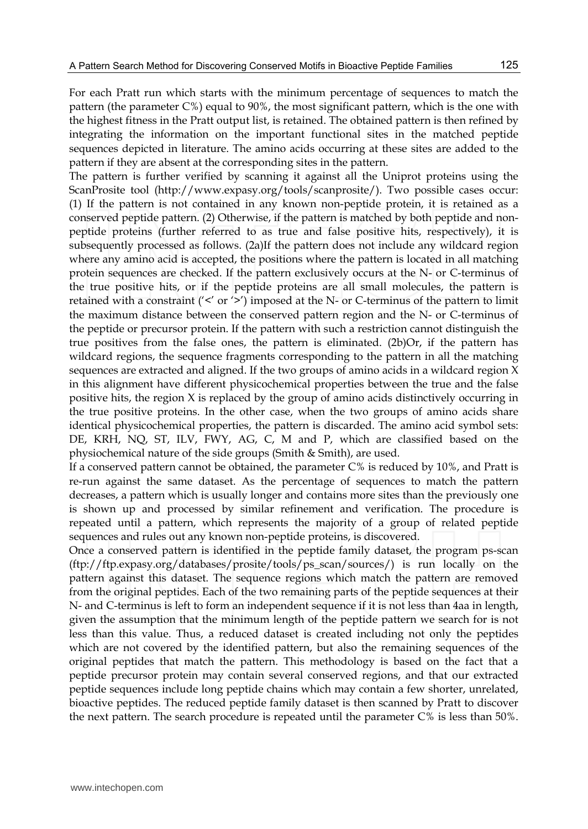For each Pratt run which starts with the minimum percentage of sequences to match the pattern (the parameter C%) equal to 90%, the most significant pattern, which is the one with the highest fitness in the Pratt output list, is retained. The obtained pattern is then refined by integrating the information on the important functional sites in the matched peptide sequences depicted in literature. The amino acids occurring at these sites are added to the pattern if they are absent at the corresponding sites in the pattern.

The pattern is further verified by scanning it against all the Uniprot proteins using the ScanProsite tool (http://www.expasy.org/tools/scanprosite/). Two possible cases occur: (1) If the pattern is not contained in any known non-peptide protein, it is retained as a conserved peptide pattern. (2) Otherwise, if the pattern is matched by both peptide and nonpeptide proteins (further referred to as true and false positive hits, respectively), it is subsequently processed as follows. (2a)If the pattern does not include any wildcard region where any amino acid is accepted, the positions where the pattern is located in all matching protein sequences are checked. If the pattern exclusively occurs at the N- or C-terminus of the true positive hits, or if the peptide proteins are all small molecules, the pattern is retained with a constraint  $('<' or '>')$  imposed at the N- or C-terminus of the pattern to limit the maximum distance between the conserved pattern region and the N- or C-terminus of the peptide or precursor protein. If the pattern with such a restriction cannot distinguish the true positives from the false ones, the pattern is eliminated. (2b)Or, if the pattern has wildcard regions, the sequence fragments corresponding to the pattern in all the matching sequences are extracted and aligned. If the two groups of amino acids in a wildcard region X in this alignment have different physicochemical properties between the true and the false positive hits, the region X is replaced by the group of amino acids distinctively occurring in the true positive proteins. In the other case, when the two groups of amino acids share identical physicochemical properties, the pattern is discarded. The amino acid symbol sets: DE, KRH, NQ, ST, ILV, FWY, AG, C, M and P, which are classified based on the physiochemical nature of the side groups (Smith & Smith), are used.

If a conserved pattern cannot be obtained, the parameter  $C\%$  is reduced by 10%, and Pratt is re-run against the same dataset. As the percentage of sequences to match the pattern decreases, a pattern which is usually longer and contains more sites than the previously one is shown up and processed by similar refinement and verification. The procedure is repeated until a pattern, which represents the majority of a group of related peptide sequences and rules out any known non-peptide proteins, is discovered.

Once a conserved pattern is identified in the peptide family dataset, the program ps-scan (ftp://ftp.expasy.org/databases/prosite/tools/ps\_scan/sources/) is run locally on the pattern against this dataset. The sequence regions which match the pattern are removed from the original peptides. Each of the two remaining parts of the peptide sequences at their N- and C-terminus is left to form an independent sequence if it is not less than 4aa in length, given the assumption that the minimum length of the peptide pattern we search for is not less than this value. Thus, a reduced dataset is created including not only the peptides which are not covered by the identified pattern, but also the remaining sequences of the original peptides that match the pattern. This methodology is based on the fact that a peptide precursor protein may contain several conserved regions, and that our extracted peptide sequences include long peptide chains which may contain a few shorter, unrelated, bioactive peptides. The reduced peptide family dataset is then scanned by Pratt to discover the next pattern. The search procedure is repeated until the parameter C% is less than 50%.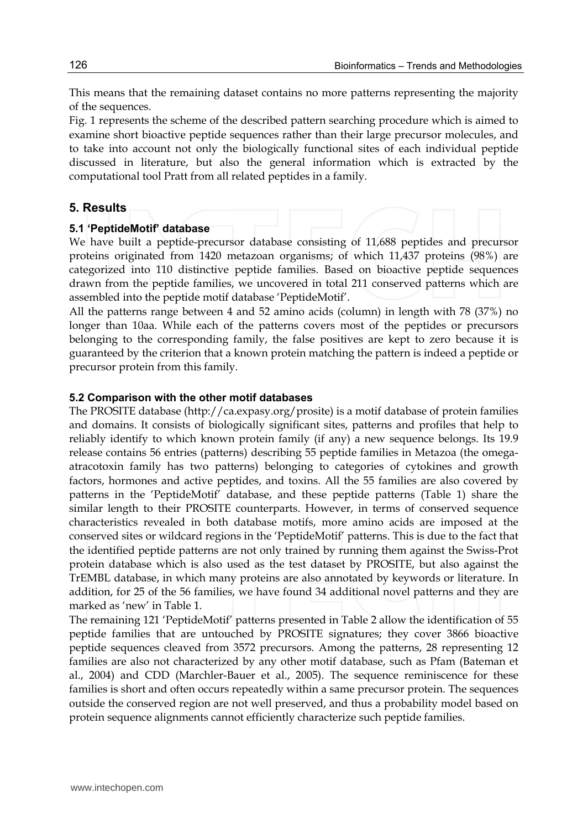This means that the remaining dataset contains no more patterns representing the majority of the sequences.

Fig. 1 represents the scheme of the described pattern searching procedure which is aimed to examine short bioactive peptide sequences rather than their large precursor molecules, and to take into account not only the biologically functional sites of each individual peptide discussed in literature, but also the general information which is extracted by the computational tool Pratt from all related peptides in a family.

## **5. Results**

#### **5.1 'PeptideMotif' database**

We have built a peptide-precursor database consisting of 11,688 peptides and precursor proteins originated from 1420 metazoan organisms; of which 11,437 proteins (98%) are categorized into 110 distinctive peptide families. Based on bioactive peptide sequences drawn from the peptide families, we uncovered in total 211 conserved patterns which are assembled into the peptide motif database 'PeptideMotif'.

All the patterns range between 4 and 52 amino acids (column) in length with 78 (37%) no longer than 10aa. While each of the patterns covers most of the peptides or precursors belonging to the corresponding family, the false positives are kept to zero because it is guaranteed by the criterion that a known protein matching the pattern is indeed a peptide or precursor protein from this family.

#### **5.2 Comparison with the other motif databases**

The PROSITE database (http://ca.expasy.org/prosite) is a motif database of protein families and domains. It consists of biologically significant sites, patterns and profiles that help to reliably identify to which known protein family (if any) a new sequence belongs. Its 19.9 release contains 56 entries (patterns) describing 55 peptide families in Metazoa (the omegaatracotoxin family has two patterns) belonging to categories of cytokines and growth factors, hormones and active peptides, and toxins. All the 55 families are also covered by patterns in the 'PeptideMotif' database, and these peptide patterns (Table 1) share the similar length to their PROSITE counterparts. However, in terms of conserved sequence characteristics revealed in both database motifs, more amino acids are imposed at the conserved sites or wildcard regions in the 'PeptideMotif' patterns. This is due to the fact that the identified peptide patterns are not only trained by running them against the Swiss-Prot protein database which is also used as the test dataset by PROSITE, but also against the TrEMBL database, in which many proteins are also annotated by keywords or literature. In addition, for 25 of the 56 families, we have found 34 additional novel patterns and they are marked as 'new' in Table 1.

The remaining 121 'PeptideMotif' patterns presented in Table 2 allow the identification of 55 peptide families that are untouched by PROSITE signatures; they cover 3866 bioactive peptide sequences cleaved from 3572 precursors. Among the patterns, 28 representing 12 families are also not characterized by any other motif database, such as Pfam (Bateman et al., 2004) and CDD (Marchler-Bauer et al., 2005). The sequence reminiscence for these families is short and often occurs repeatedly within a same precursor protein. The sequences outside the conserved region are not well preserved, and thus a probability model based on protein sequence alignments cannot efficiently characterize such peptide families.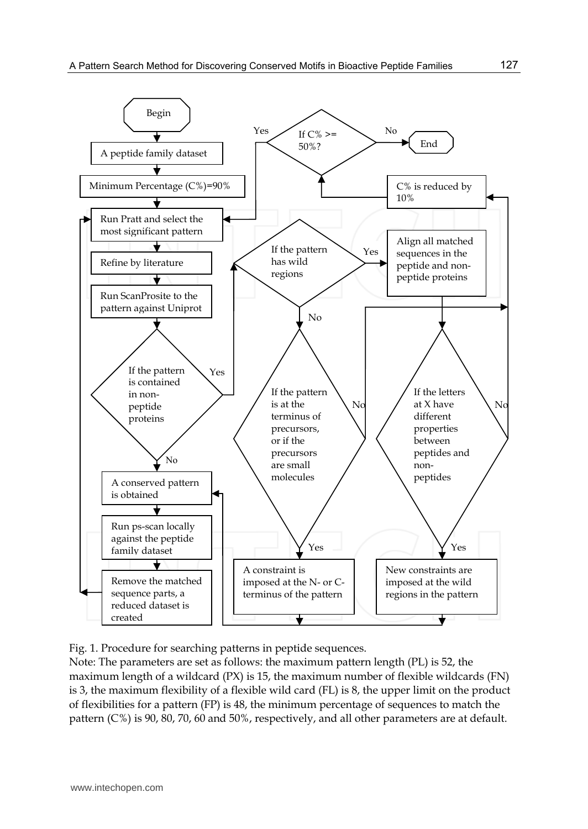

Fig. 1. Procedure for searching patterns in peptide sequences.

Note: The parameters are set as follows: the maximum pattern length (PL) is 52, the maximum length of a wildcard (PX) is 15, the maximum number of flexible wildcards (FN) is 3, the maximum flexibility of a flexible wild card (FL) is 8, the upper limit on the product of flexibilities for a pattern (FP) is 48, the minimum percentage of sequences to match the pattern (C%) is 90, 80, 70, 60 and 50%, respectively, and all other parameters are at default.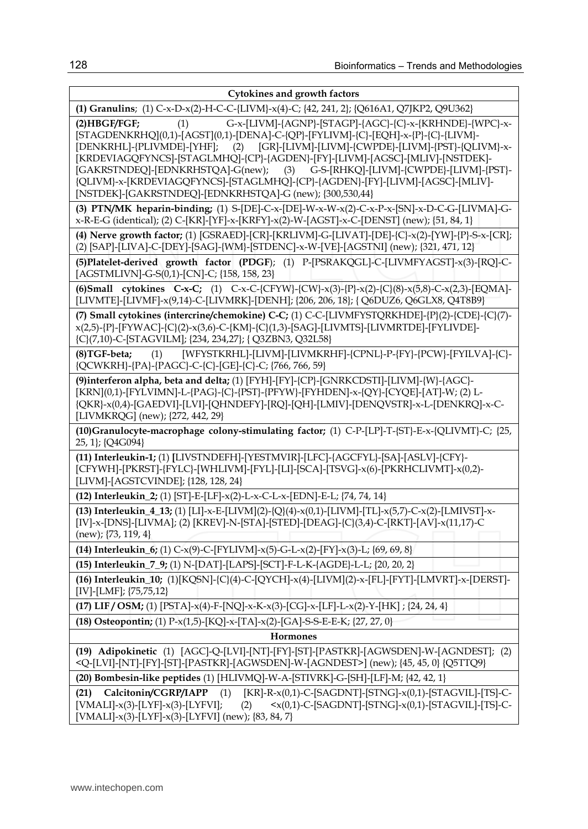| Cytokines and growth factors                                                                                                                                                                                                                                                                                                                                                                                                                                                                                                                                               |
|----------------------------------------------------------------------------------------------------------------------------------------------------------------------------------------------------------------------------------------------------------------------------------------------------------------------------------------------------------------------------------------------------------------------------------------------------------------------------------------------------------------------------------------------------------------------------|
| (1) Granulins; (1) C-x-D-x(2)-H-C-C-{LIVM}-x(4)-C; {42, 241, 2}; {Q616A1, Q7JKP2, Q9U362}                                                                                                                                                                                                                                                                                                                                                                                                                                                                                  |
| (2) HBGF/FGF;<br>G-x-[LIVM]-{AGNP}-[STAGP]-{AGC}-{C}-x-{KRHNDE}-{WPC}-x-<br>(1)<br>[STAGDENKRHQ](0,1)-[AGST](0,1)-[DENA]-C-{QP}-[FYLIVM]-{C}-[EQH]-x-{P}-{C}-{LIVM}-<br>(2) [GR]-[LIVM]-[LIVM]-{CWPDE}-[LIVM]-{PST}-{QLIVM}-x-<br>[DENKRHL]-{PLIVMDE}-[YHF];<br>[KRDEVIAGQFYNCS]-[STAGLMHQ]-{CP}-{AGDEN}-[FY]-[LIVM]-[AGSC]-[MLIV]-[NSTDEK]-<br>[GAKRSTNDEQ]-[EDNKRHSTQA]-G(new); (3) G-S-[RHKQ]-[LIVM]-{CWPDE}-[LIVM]-{PST}-<br>{QLIVM}-x-[KRDEVIAGQFYNCS]-[STAGLMHQ]-{CP}-{AGDEN}-[FY]-[LIVM]-[AGSC]-[MLIV]-<br>[NSTDEK]-[GAKRSTNDEQ]-[EDNKRHSTQA]-G (new); {300,530,44} |
| (3) PTN/MK heparin-binding; (1) S-[DE]-C-x-[DE]-W-x-W-x(2)-C-x-P-x-[SN]-x-D-C-G-[LIVMA]-G-<br>x-R-E-G (identical); (2) C-[KR]-[YF]-x-[KRFY]-x(2)-W-[AGST]-x-C-[DENST] (new); {51, 84, 1}                                                                                                                                                                                                                                                                                                                                                                                   |
| (4) Nerve growth factor; (1) [GSRAED]-[CR]-[KRLIVM]-G-[LIVAT]-[DE]-{C}-x(2)-[YW]-{P}-S-x-[CR];<br>(2) [SAP]-[LIVA]-C-[DEY]-[SAG]-{WM}-[STDENC]-x-W-[VE]-[AGSTNI] (new); {321, 471, 12}                                                                                                                                                                                                                                                                                                                                                                                     |
| (5) Platelet-derived growth factor (PDGF); (1) P-[PSRAKQGL]-C-[LIVMFYAGST]-x(3)-[RQ]-C-<br>[AGSTMLIVN]-G-S(0,1)-[CN]-C; {158, 158, 23}                                                                                                                                                                                                                                                                                                                                                                                                                                     |
| (6) Small cytokines C-x-C; (1) C-x-C-{CFYW}-{CW}-x(3)-{P}-x(2)-{C}(8)-x(5,8)-C-x(2,3)-[EQMA]-<br>[LIVMTE]-[LIVMF]-x(9,14)-C-[LIVMRK]-[DENH]; {206, 206, 18}; { Q6DUZ6, Q6GLX8, Q4T8B9}                                                                                                                                                                                                                                                                                                                                                                                     |
| (7) Small cytokines (intercrine/chemokine) C-C; (1) C-C-[LIVMFYSTQRKHDE]-{P}(2)-{CDE}-{C}(7)-<br>x(2,5)-{P}-[FYWAC]-{C}(2)-x(3,6)-C-{KM}-{C}(1,3)-[SAG]-[LIVMTS]-[LIVMRTDE]-[FYLIVDE]-<br>{C}(7,10)-C-[STAGVILM]; {234, 234,27}; { Q3ZBN3, Q32L58}                                                                                                                                                                                                                                                                                                                         |
| [WFYSTKRHL]-[LIVM]-[LIVMKRHF]-{CPNL}-P-{FY}-{PCW}-[FYILVA]-{C}-<br>(8) TGF-beta:<br>(1)<br>{QCWKRH}-{PA}-{PAGC}-C-{C}-[GE]-{C}-C; {766, 766, 59}                                                                                                                                                                                                                                                                                                                                                                                                                           |
| (9)interferon alpha, beta and delta; (1) [FYH]-[FY]-{CP}-[GNRKCDSTI]-[LIVM]-{W}-{AGC}-<br>[KRN](0,1)-[FYLVIMN]-L-{PAG}-{C}-{PST}-{PFYW}-[FYHDEN]-x-{QY}-[CYQE]-[AT]-W; (2) L-<br>{QKR}-x(0,4)-[GAEDVI]-[LVI]-[QHNDEFY]-[RQ]-[QH]-[LMIV]-[DENQVSTR]-x-L-[DENKRQ]-x-C-<br>[LIVMKRQG] (new); {272, 442, 29}                                                                                                                                                                                                                                                                   |
| (10)Granulocyte-macrophage colony-stimulating factor; (1) C-P-[LP]-T-{ST}-E-x-{QLIVMT}-C; {25,<br>25, 1}; {Q4G094}                                                                                                                                                                                                                                                                                                                                                                                                                                                         |
| (11) Interleukin-1; (1) [LIVSTNDEFH]-[YESTMVIR]-[LFC]-{AGCFYL}-[SA]-[ASLV]-{CFY}-<br>[CFYWH]-[PKRST]-{FYLC}-[WHLIVM]-[FYL]-[LI]-[SCA]-[TSVG]-x(6)-[PKRHCLIVMT]-x(0,2)-<br>[LIVM]-[AGSTCVINDE]; {128, 128, 24}                                                                                                                                                                                                                                                                                                                                                              |
| (12) Interleukin_2; (1) [ST]-E-[LF]-x(2)-L-x-C-L-x-[EDN]-E-L; {74, 74, 14}                                                                                                                                                                                                                                                                                                                                                                                                                                                                                                 |
| (13) Interleukin_4_13; (1) [LI]-x-E-[LIVM](2)-{Q}(4)-x(0,1)-[LIVM]-[TL]-x(5,7)-C-x(2)-[LMIVST]-x-<br>[IV]-x-[DNS]-[LIVMA]; (2) [KREV]-N-[STA]-[STED]-[DEAG]-{C}(3,4)-C-[RKT]-[AV]-x(11,17)-C<br>$(new);$ {73, 119, 4}                                                                                                                                                                                                                                                                                                                                                      |
| (14) Interleukin_6; (1) C-x(9)-C-[FYLIVM]-x(5)-G-L-x(2)-[FY]-x(3)-L; {69, 69, 8}                                                                                                                                                                                                                                                                                                                                                                                                                                                                                           |
| (15) Interleukin_7_9; (1) N-[DAT]-[LAPS]-[SCT]-F-L-K-{AGDE}-L-L; {20, 20, 2}                                                                                                                                                                                                                                                                                                                                                                                                                                                                                               |
| (16) Interleukin_10; (1)[KQSN]-{C}(4)-C-[QYCH]-x(4)-[LIVM](2)-x-[FL]-[FYT]-[LMVRT]-x-[DERST]-<br>[IV]-[LMF]; $\{75,75,12\}$                                                                                                                                                                                                                                                                                                                                                                                                                                                |
| (17) LIF / OSM; (1) [PSTA]-x(4)-F-[NQ]-x-K-x(3)-[CG]-x-[LF]-L-x(2)-Y-[HK]; {24, 24, 4}                                                                                                                                                                                                                                                                                                                                                                                                                                                                                     |
| (18) Osteopontin; (1) P-x(1,5)-[KQ]-x-[TA]-x(2)-[GA]-S-S-E-E-K; {27, 27, 0}                                                                                                                                                                                                                                                                                                                                                                                                                                                                                                |
| Hormones                                                                                                                                                                                                                                                                                                                                                                                                                                                                                                                                                                   |
| (1) Adipokinetic (1) [AGC]-Q-[LVI]-[NT]-[FY]-[ST]-[PASTKR]-[AGWSDEN]-W-[AGNDEST]; (2)<br><q-[lvi]-[nt]-[fy]-[st]-[pastkr]-[agwsden]-w-[agndest>] (new); {45, 45, 0} {Q5TTQ9}</q-[lvi]-[nt]-[fy]-[st]-[pastkr]-[agwsden]-w-[agndest>                                                                                                                                                                                                                                                                                                                                        |
| (20) Bombesin-like peptides (1) [HLIVMQ]-W-A-[STIVRK]-G-[SH]-[LF]-M; {42, 42, 1}                                                                                                                                                                                                                                                                                                                                                                                                                                                                                           |
| [KR]-R-x(0,1)-C-[SAGDNT]-[STNG]-x(0,1)-[STAGVIL]-[TS]-C-<br>Calcitonin/CGRP/IAPP<br>(1)<br>(21)<br>$[VMALI]-x(3)-[LYF]-x(3)-[LYFVI];$<br>$\langle x(0,1)$ -C-[SAGDNT]-[STNG]-x(0,1)-[STAGVIL]-[TS]-C-<br>(2)<br>[VMALI]-x(3)-[LYF]-x(3)-[LYFVI] (new); {83, 84, 7}                                                                                                                                                                                                                                                                                                         |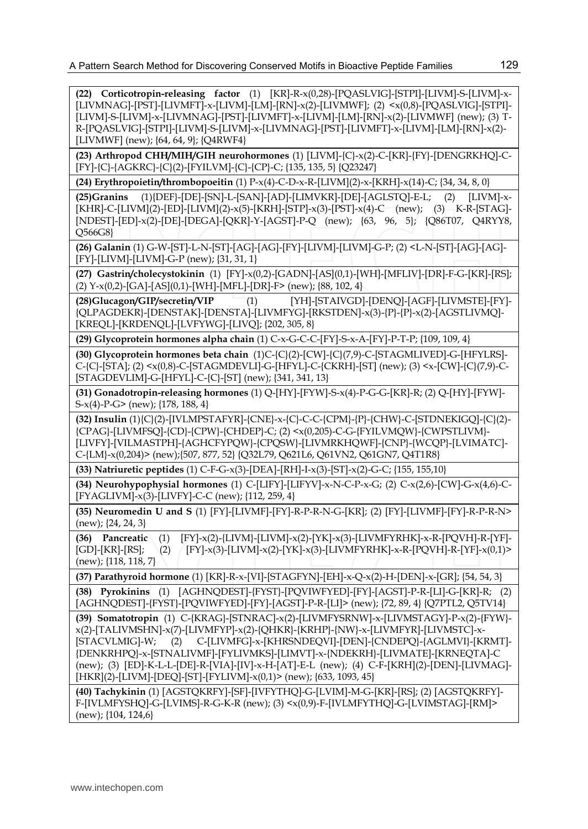**(22) Corticotropin-releasing factor** (1) [KR]-R-x(0,28)-[PQASLVIG]-[STPI]-[LIVM]-S-[LIVM]-x- [LIVMNAG]-[PST]-[LIVMFT]-x-[LIVM]-[LM]-[RN]-x(2)-[LIVMWF]; (2) <x(0,8)-[PQASLVIG]-[STPI]- [LIVM]-S-[LIVM]-x-[LIVMNAG]-[PST]-[LIVMFT]-x-[LIVM]-[LM]-[RN]-x(2)-[LIVMWF] (new); (3) T-R-[PQASLVIG]-[STPI]-[LIVM]-S-[LIVM]-x-[LIVMNAG]-[PST]-[LIVMFT]-x-[LIVM]-[LM]-[RN]-x(2)- [LIVMWF] (new); {64, 64, 9}; {Q4RWF4}

**(23) Arthropod CHH/MIH/GIH neurohormones** (1) [LIVM]-{C}-x(2)-C-[KR]-{FY}-[DENGRKHQ]-C- [FY]-{C}-{AGKRC}-{C}(2)-[FYILVM]-{C}-{CP}-C; {135, 135, 5} {Q23247}

**(24) Erythropoietin/thrombopoeitin** (1) P-x(4)-C-D-x-R-[LIVM](2)-x-[KRH]-x(14)-C; {34, 34, 8, 0}

**(25)Granins** (1){DEF}-[DE]-[SN]-L-[SAN]-[AD]-[LIMVKR]-[DE]-[AGLSTQ]-E-L; (2) [LIVM]-x- [KHR]-C-[LIVM](2)-[ED]-[LIVM](2)-x(5)-[KRH]-[STP]-x(3)-[PST]-x(4)-C (new); (3) K-R-[STAG]- [NDEST]-[ED]-x(2)-[DE]-[DEGA]-[QKR]-Y-[AGST]-P-Q (new); {63, 96, 5}; {Q86T07, Q4RYY8, Q566G8}

**(26) Galanin** (1) G-W-[ST]-L-N-[ST]-[AG]-[AG]-[FY]-[LIVM]-[LIVM]-G-P; (2) <L-N-[ST]-[AG]-[AG]- [FY]-[LIVM]-[LIVM]-G-P (new); {31, 31, 1}

**(27) Gastrin/cholecystokinin** (1) [FY]-x(0,2)-[GADN]-[AS](0,1)-[WH]-[MFLIV]-[DR]-F-G-[KR]-[RS]; (2) Y-x(0,2)-[GA]-[AS](0,1)-[WH]-[MFL]-[DR]-F> (new); {88, 102, 4}

**(28)Glucagon/GIP/secretin/VIP** (1) [YH]-[STAIVGD]-[DENQ]-[AGF]-[LIVMSTE]-[FY]- {QLPAGDEKR}-[DENSTAK]-[DENSTA]-[LIVMFYG]-[RKSTDEN]-x(3)-{P}-{P}-x(2)-[AGSTLIVMQ]- [KREQL]-[KRDENQL]-[LVFYWG]-[LIVQ]; {202, 305, 8}

**(29) Glycoprotein hormones alpha chain** (1) C-x-G-C-C-[FY]-S-x-A-[FY]-P-T-P; {109, 109, 4}

**(30) Glycoprotein hormones beta chain** (1)C-{C}(2)-[CW]-{C}(7,9)-C-[STAGMLIVED]-G-[HFYLRS]- C-{C}-[STA]; (2) <x(0,8)-C-[STAGMDEVLI]-G-[HFYL]-C-{CKRH}-[ST] (new); (3) <x-[CW]-{C}(7,9)-C- [STAGDEVLIM]-G-[HFYL]-C-{C}-[ST] (new); {341, 341, 13}

**(31) Gonadotropin-releasing hormones** (1) Q-[HY]-[FYW]-S-x(4)-P-G-G-[KR]-R; (2) Q-[HY]-[FYW]- S-x(4)-P-G> (new); {178, 188, 4}

**(32) Insulin** (1){C}(2)-[IVLMPSTAFYR]-{CNE}-x-{C}-C-C-{CPM}-{P}-{CHW}-C-[STDNEKIGQ]-{C}(2)- {CPAG}-[LIVMFSQ]-{CD}-{CPW}-{CHDEP}-C; (2) <x(0,205)-C-G-{FYILVMQW}-{CWPSTLIVM}- [LIVFY]-[VILMASTPH]-{AGHCFYPQW}-{CPQSW}-[LIVMRKHQWF]-{CNP}-{WCQP}-[LVIMATC]- C-{LM}-x(0,204)> (new);{507, 877, 52} {Q32L79, Q621L6, Q61VN2, Q61GN7, Q4T1R8}

**(33) Natriuretic peptides** (1) C-F-G-x(3)-[DEA]-[RH]-I-x(3)-[ST]-x(2)-G-C; {155, 155,10}

**(34) Neurohypophysial hormones** (1) C-[LIFY]-[LIFYV]-x-N-C-P-x-G; (2) C-x(2,6)-[CW]-G-x(4,6)-C- [FYAGLIVM]-x(3)-[LIVFY]-C-C (new); {112, 259, 4}

**(35) Neuromedin U and S** (1) [FY]-[LIVMF]-[FY]-R-P-R-N-G-[KR]; (2) [FY]-[LIVMF]-[FY]-R-P-R-N>  $(new);$  {24, 24, 3}

**(36) Pancreatic** (1) [FY]-x(2)-{LIVM}-[LIVM]-x(2)-[YK]-x(3)-[LIVMFYRHK]-x-R-[PQVH]-R-[YF]- [GD]-[KR]-[RS]; (2) [FY]-x(3)-[LIVM]-x(2)-[YK]-x(3)-[LIVMFYRHK]-x-R-[PQVH]-R-[YF]-x(0,1)> (new); {118, 118, 7}

**(37) Parathyroid hormone** (1) [KR]-R-x-[VI]-[STAGFYN]-[EH]-x-Q-x(2)-H-[DEN]-x-[GR]; {54, 54, 3}

**(38) Pyrokinins** (1) [AGHNQDEST]-{FYST}-[PQVIWFYED]-[FY]-[AGST]-P-R-[LI]-G-[KR]-R; (2) [AGHNQDEST]-{FYST}-[PQVIWFYED]-[FY]-[AGST]-P-R-[LI]> (new); {72, 89, 4} {Q7PTL2, Q5TV14}

**(39) Somatotropin** (1) C-{KRAG}-[STNRAC]-x(2)-[LIVMFYSRNW]-x-[LIVMSTAGY]-P-x(2)-{FYW} x(2)-[TALIVMSHN]-x(7)-[LIVMFYP]-x(2)-{QHKR}-{KRHP}-{NW}-x-[LIVMFYR]-[LIVMSTC]-x- [STACVLMIG]-W; (2) C-[LIVMFG]-x-[KHRSNDEQVI]-[DEN]-{CNDEPQ}-{AGLMVI}-[KRMT]- {DENKRHPQ}-x-[STNALIVMF]-[FYLIVMKS]-[LIMVT]-x-{NDEKRH}-[LIVMATE]-[KRNEQTA]-C (new); (3) [ED]-K-L-L-[DE]-R-[VIA]-[IV]-x-H-[AT]-E-L (new); (4) C-F-[KRH](2)-[DEN]-[LIVMAG]- [HKR](2)-[LIVM]-[DEQ]-[ST]-[FYLIVM]-x(0,1)> (new); {633, 1093, 45}

**(40) Tachykinin** (1) [AGSTQKRFY]-[SF]-[IVFYTHQ]-G-[LVIM]-M-G-[KR]-[RS]; (2) [AGSTQKRFY]- F-[IVLMFYSHQ]-G-[LVIMS]-R-G-K-R (new); (3) <x(0,9)-F-[IVLMFYTHQ]-G-[LVIMSTAG]-[RM]> (new); {104, 124,6}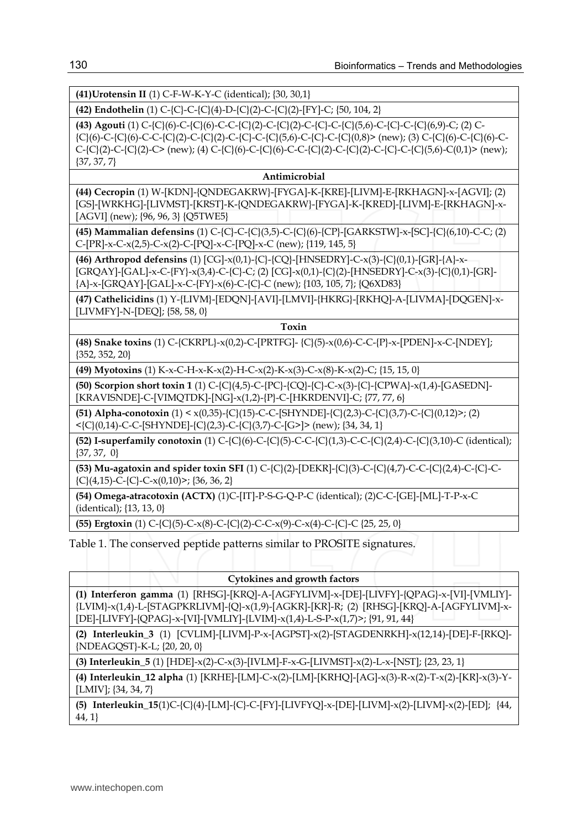**(41)Urotensin II** (1) C-F-W-K-Y-C (identical); {30, 30,1}

**(42) Endothelin** (1) C-{C}-C-{C}(4)-D-{C}(2)-C-{C}(2)-[FY]-C; {50, 104, 2}

**(43) Agouti** (1) C-{C}(6)-C-{C}(6)-C-C-{C}(2)-C-{C}(2)-C-{C}-C-{C}(5,6)-C-{C}-C-{C}(6,9)-C; (2) C- {C}(6)-C-{C}(6)-C-C-{C}(2)-C-{C}(2)-C-{C}-C-{C}(5,6)-C-{C}-C-{C}(0,8)> (new); (3) C-{C}(6)-C-{C}(6)-C-C-{C}(2)-C-{C}(2)-C> (new); (4) C-{C}(6)-C-{C}(6)-C-C-{C}(2)-C-{C}(2)-C-{C}-C-{C}(5,6)-C(0,1)> (new); {37, 37, 7}

#### **Antimicrobial**

**(44) Cecropin** (1) W-[KDN]-{QNDEGAKRW}-[FYGA]-K-[KRE]-[LIVM]-E-[RKHAGN]-x-[AGVI]; (2) [GS]-[WRKHG]-[LIVMST]-[KRST]-K-{QNDEGAKRW}-[FYGA]-K-[KRED]-[LIVM]-E-[RKHAGN]-x- [AGVI] (new); {96, 96, 3} {Q5TWE5}

**(45) Mammalian defensins** (1) C-{C}-C-{C}(3,5)-C-{C}(6)-{CP}-[GARKSTW]-x-[SC]-{C}(6,10)-C-C; (2) C-[PR]-x-C-x(2,5)-C-x(2)-C-[PQ]-x-C-[PQ]-x-C (new); {119, 145, 5}

**(46) Arthropod defensins** (1) [CG]-x(0,1)-{C}-{CQ}-[HNSEDRY]-C-x(3)-{C}(0,1)-[GR]-{A}-x- [GRQAY]-[GAL]-x-C-{FY}-x(3,4)-C-{C}-C; (2) [CG]-x(0,1)-{C}(2)-[HNSEDRY]-C-x(3)-{C}(0,1)-[GR]- {A}-x-[GRQAY]-[GAL]-x-C-{FY}-x(6)-C-{C}-C (new); {103, 105, 7}; {Q6XD83}

**(47) Cathelicidins** (1) Y-{LIVM}-[EDQN]-[AVI]-[LMVI]-{HKRG}-[RKHQ]-A-[LIVMA]-[DQGEN]-x- [LIVMFY]-N-[DEQ]; {58, 58, 0}

#### **Toxin**

**(48) Snake toxins** (1) C-{CKRPL}-x(0,2)-C-[PRTFG]- {C}(5)-x(0,6)-C-C-{P}-x-[PDEN]-x-C-[NDEY]; {352, 352, 20}

**(49) Myotoxins** (1) K-x-C-H-x-K-x(2)-H-C-x(2)-K-x(3)-C-x(8)-K-x(2)-C; {15, 15, 0}

**(50) Scorpion short toxin 1** (1) C-{C}(4,5)-C-{PC}-{CQ}-{C}-C-x(3)-{C}-{CPWA}-x(1,4)-[GASEDN]- [KRAVISNDE]-C-[VIMQTDK]-[NG]-x(1,2)-{P}-C-[HKRDENVI]-C; {77, 77, 6}

**(51) Alpha-conotoxin** (1) < x(0,35)-{C}(15)-C-C-[SHYNDE]-{C}(2,3)-C-{C}(3,7)-C-{C}(0,12)>; (2) <{C}(0,14)-C-C-[SHYNDE]-{C}(2,3)-C-{C}(3,7)-C-[G>]> (new); {34, 34, 1}

**(52) I-superfamily conotoxin** (1) C-{C}(6)-C-{C}(5)-C-C-{C}(1,3)-C-C-{C}(2,4)-C-{C}(3,10)-C (identical); {37, 37, 0}

**(53) Mu-agatoxin and spider toxin SFI** (1) C-{C}(2)-[DEKR]-{C}(3)-C-{C}(4,7)-C-C-{C}(2,4)-C-{C}-C-  ${C}(4,15)-C-{C}$ -C-x(0,10)>; {36, 36, 2}

**(54) Omega-atracotoxin (ACTX)** (1)C-[IT]-P-S-G-Q-P-C (identical); (2)C-C-[GE]-[ML]-T-P-x-C (identical); {13, 13, 0}

**(55) Ergtoxin** (1) C-{C}(5)-C-x(8)-C-{C}(2)-C-C-x(9)-C-x(4)-C-{C}-C {25, 25, 0}

Table 1. The conserved peptide patterns similar to PROSITE signatures.

#### **Cytokines and growth factors**

**(1) Interferon gamma** (1) [RHSG]-[KRQ]-A-[AGFYLIVM]-x-[DE]-[LIVFY]-{QPAG}-x-[VI]-[VMLIY]- {LVIM}-x(1,4)-L-[STAGPKRLIVM]-{Q}-x(1,9)-[AGKR]-[KR]-R; (2) [RHSG]-[KRQ]-A-[AGFYLIVM]-x- [DE]-[LIVFY]-{QPAG}-x-[VI]-[VMLIY]-{LVIM}-x(1,4)-L-S-P-x(1,7)>; {91, 91, 44}

**(2) Interleukin\_3** (1) [CVLIM]-[LIVM]-P-x-[AGPST]-x(2)-[STAGDENRKH]-x(12,14)-[DE]-F-[RKQ]- {NDEAGQST}-K-L; {20, 20, 0}

**(3) Interleukin\_5** (1) [HDE]-x(2)-C-x(3)-[IVLM]-F-x-G-[LIVMST]-x(2)-L-x-[NST]; {23, 23, 1}

**(4) Interleukin\_12 alpha** (1) [KRHE]-[LM]-C-x(2)-[LM]-[KRHQ]-[AG]-x(3)-R-x(2)-T-x(2)-[KR]-x(3)-Y- [LMIV]; {34, 34, 7}

**(5) Interleukin\_15**(1)C-{C}(4)-[LM]-{C}-C-[FY]-[LIVFYQ]-x-[DE]-[LIVM]-x(2)-[LIVM]-x(2)-[ED]; {44, 44, 1}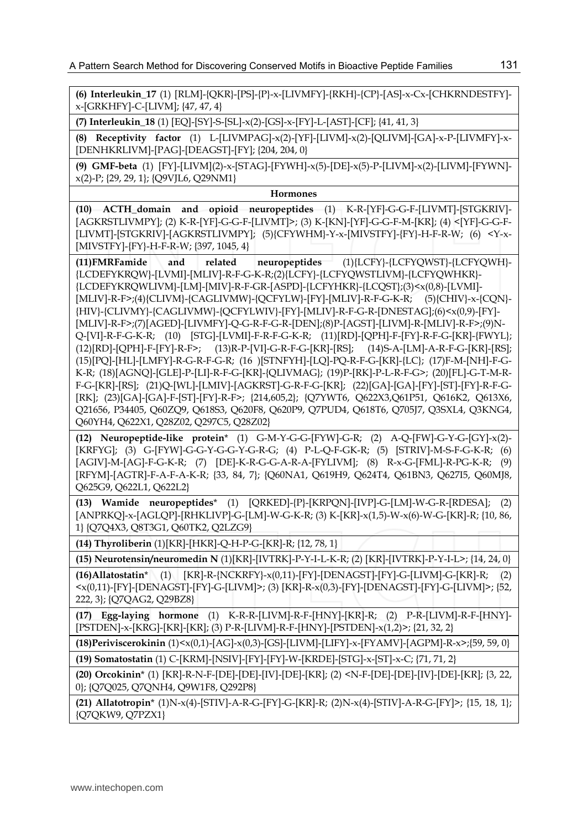**(6) Interleukin\_17** (1) [RLM]-{QKR}-[PS]-{P}-x-[LIVMFY]-{RKH}-{CP}-[AS]-x-Cx-[CHKRNDESTFY] x-[GRKHFY]-C-[LIVM]; {47, 47, 4}

**(7) Interleukin\_18** (1) [EQ]-[SY]-S-[SL]-x(2)-[GS]-x-[FY]-L-[AST]-[CF]; {41, 41, 3}

**(8) Receptivity factor** (1) L-[LIVMPAG]-x(2)-[YF]-[LIVM]-x(2)-[QLIVM]-[GA]-x-P-[LIVMFY]-x- [DENHKRLIVM]-[PAG]-[DEAGST]-[FY]; {204, 204, 0}

**(9) GMF-beta** (1) [FY]-[LIVM](2)-x-[STAG]-[FYWH]-x(5)-[DE]-x(5)-P-[LIVM]-x(2)-[LIVM]-[FYWN] x(2)-P; {29, 29, 1}; {Q9VJL6, Q29NM1}

**Hormones**

**(10) ACTH\_domain and opioid neuropeptides** (1) K-R-[YF]-G-G-F-[LIVMT]-[STGKRIV]- [AGKRSTLIVMPY]; (2) K-R-[YF]-G-G-F-[LIVMT]>; (3) K-[KN]-[YF]-G-G-F-M-[KR]; (4) <[YF]-G-G-F- [LIVMT]-[STGKRIV]-[AGKRSTLIVMPY]; (5){CFYWHM}-Y-x-[MIVSTFY]-{FY}-H-F-R-W; (6) <Y-x- [MIVSTFY]-{FY}-H-F-R-W; {397, 1045, 4}

**(11)FMRFamide and related neuropeptides** (1){LCFY}-{LCFYQWST}-{LCFYQWH}- {LCDEFYKRQW}-[LVMI]-[MLIV]-R-F-G-K-R;(2){LCFY}-{LCFYQWSTLIVM}-{LCFYQWHKR}- {LCDEFYKRQWLIVM}-[LM]-[MIV]-R-F-GR-[ASPD]-{LCFYHKR}-{LCQST};(3)<x(0,8)-[LVMI]- [MLIV]-R-F>;(4){CLIVM}-{CAGLIVMW}-{QCFYLW}-[FY]-[MLIV]-R-F-G-K-R; (5){CHIV}-x-{CQN}- {HIV}-{CLIVMY}-{CAGLIVMW}-{QCFYLWIV}-[FY]-[MLIV]-R-F-G-R-[DNESTAG];(6)<x(0,9)-[FY]- [MLIV]-R-F>;(7)[AGED]-[LIVMFY]-Q-G-R-F-G-R-[DEN];(8)P-[AGST]-[LIVM]-R-[MLIV]-R-F>;(9)N-Q-[VI]-R-F-G-K-R; (10) [STG]-[LVMI]-F-R-F-G-K-R; (11)[RD]-[QPH]-F-[FY]-R-F-G-[KR]-{FWYL}; (12)[RD]-[QPH]-F-[FY]-R-F>; (13)R-P-[VI]-G-R-F-G-[KR]-[RS]; (14)S-A-[LM]-A-R-F-G-[KR]-[RS]; (15)[PQ]-[HL]-[LMFY]-R-G-R-F-G-R; (16 )[STNFYH]-[LQ]-PQ-R-F-G-[KR]-{LC}; (17)F-M-[NH]-F-G-K-R; (18)[AGNQ]-[GLE]-P-[LI]-R-F-G-[KR]-{QLIVMAG}; (19)P-[RK]-P-L-R-F-G>; (20)[FL]-G-T-M-R-F-G-[KR]-[RS]; (21)Q-[WL]-[LMIV]-[AGKRST]-G-R-F-G-[KR]; (22)[GA]-[GA]-[FY]-[ST]-[FY]-R-F-G- [RK]; (23)[GA]-[GA]-F-[ST]-[FY]-R-F>; {214,605,2}; {Q7YWT6, Q622X3,Q61P51, Q616K2, Q613X6, Q21656, P34405, Q60ZQ9, Q618S3, Q620F8, Q620P9, Q7PUD4, Q618T6, Q705J7, Q3SXL4, Q3KNG4, Q60YH4, Q622X1, Q28Z02, Q297C5, Q28Z02}

**(12) Neuropeptide-like protein**\* (1) G-M-Y-G-G-[FYW]-G-R; (2) A-Q-[FW]-G-Y-G-[GY]-x(2)- [KRFYG]; (3) G-[FYW]-G-G-Y-G-G-Y-G-R-G; (4) P-L-Q-F-GK-R; (5) [STRIV]-M-S-F-G-K-R; (6) [AGIV]-M-[AG]-F-G-K-R; (7) [DE]-K-R-G-G-A-R-A-[FYLIVM]; (8) R-x-G-[FML]-R-PG-K-R; (9) [RFYM]-[AGTR]-F-A-F-A-K-R; {33, 84, 7}; {Q60NA1, Q619H9, Q624T4, Q61BN3, Q627I5, Q60MJ8, Q625G9, Q622L1, Q622L2}

**(13) Wamide neuropeptides**\* (1) [QRKED]-{P}-[KRPQN]-[IVP]-G-[LM]-W-G-R-[RDESA]; (2) [ANPRKQ]-x-[AGLQP]-[RHKLIVP]-G-[LM]-W-G-K-R; (3) K-[KR]-x(1,5)-W-x(6)-W-G-[KR]-R; {10, 86, 1} {Q7Q4X3, Q8T3G1, Q60TK2, Q2LZG9}

**(14) Thyroliberin** (1)[KR]-[HKR]-Q-H-P-G-[KR]-R; {12, 78, 1}

**(15) Neurotensin/neuromedin N** (1)[KR]-[IVTRK]-P-Y-I-L-K-R; (2) [KR]-[IVTRK]-P-Y-I-L>; {14, 24, 0}

**(16)Allatostatin**\* (1) [KR]-R-{NCKRFY}-x(0,11)-[FY]-[DENAGST]-[FY]-G-[LIVM]-G-[KR]-R; (2) <x(0,11)-[FY]-[DENAGST]-[FY]-G-[LIVM]>; (3) [KR]-R-x(0,3)-[FY]-[DENAGST]-[FY]-G-[LIVM]>; {52, 222, 3}; {Q7QAG2, Q29BZ8}

**(17) Egg-laying hormone** (1) K-R-R-[LIVM]-R-F-[HNY]-[KR]-R; (2) P-R-[LIVM]-R-F-[HNY]- [PSTDEN]-x-[KRG]-[KR]-[KR]; (3) P-R-[LIVM]-R-F-[HNY]-[PSTDEN]-x(1,2)>; {21, 32, 2}

**(18)Periviscerokinin** (1)<x(0,1)-[AG]-x(0,3)-[GS]-[LIVM]-[LIFY]-x-[FYAMV]-[AGPM]-R-x>;{59, 59, 0}

**(19) Somatostatin** (1) C-[KRM]-[NSIV]-[FY]-[FY]-W-[KRDE]-[STG]-x-[ST]-x-C; {71, 71, 2}

**(20) Orcokinin**\* (1) [KR]-R-N-F-[DE]-[DE]-[IV]-[DE]-[KR]; (2) <N-F-[DE]-[DE]-[IV]-[DE]-[KR]; {3, 22, 0}; {Q7Q025, Q7QNH4, Q9W1F8, Q292P8}

**(21) Allatotropin**\* (1)N-x(4)-[STIV]-A-R-G-[FY]-G-[KR]-R; (2)N-x(4)-[STIV]-A-R-G-[FY]>; {15, 18, 1}; {Q7QKW9, Q7PZX1}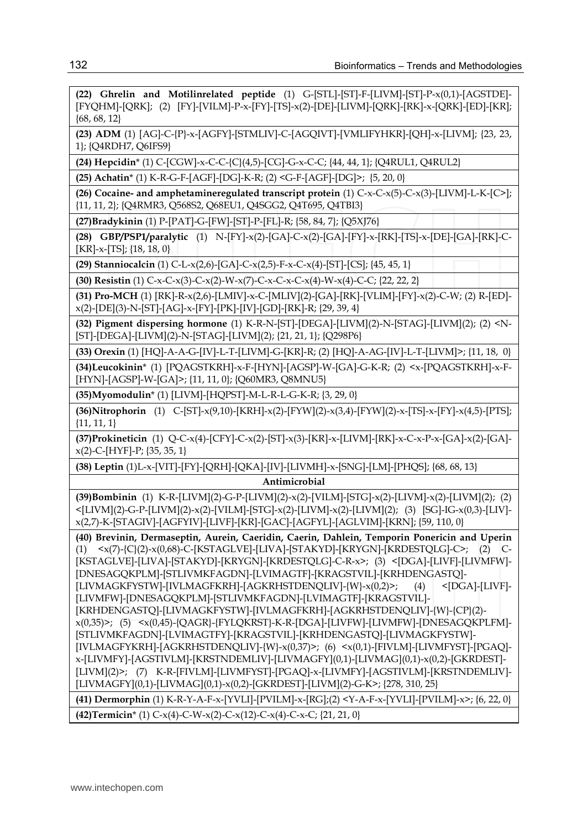**(22) Ghrelin and Motilinrelated peptide** (1) G-[STL]-[ST]-F-[LIVM]-[ST]-P-x(0,1)-[AGSTDE]- [FYQHM]-[QRK]; (2) [FY]-[VILM]-P-x-[FY]-[TS]-x(2)-[DE]-[LIVM]-[QRK]-[RK]-x-[QRK]-[ED]-[KR]; {68, 68, 12}

**(23) ADM** (1) [AG]-C-{P}-x-[AGFY]-[STMLIV]-C-[AGQIVT]-[VMLIFYHKR]-[QH]-x-[LIVM]; {23, 23, 1}; {Q4RDH7, Q6IFS9}

**(24) Hepcidin**\* (1) C-[CGW]-x-C-C-{C}(4,5)-[CG]-G-x-C-C; {44, 44, 1}; {Q4RUL1, Q4RUL2}

**(25) Achatin**\* (1) K-R-G-F-[AGF]-[DG]-K-R; (2) <G-F-[AGF]-[DG]>; {5, 20, 0}

**(26) Cocaine- and amphetamineregulated transcript protein** (1) C-x-C-x(5)-C-x(3)-[LIVM]-L-K-[C>]; {11, 11, 2}; {Q4RMR3, Q568S2, Q68EU1, Q4SGG2, Q4T695, Q4TBI3}

**(27)Bradykinin** (1) P-[PAT]-G-[FW]-[ST]-P-[FL]-R; {58, 84, 7}; {Q5XJ76}

**(28) GBP/PSP1/paralytic** (1) N-[FY]-x(2)-[GA]-C-x(2)-[GA]-[FY]-x-[RK]-[TS]-x-[DE]-[GA]-[RK]-C- [KR]-x-[TS]; {18, 18, 0}

**(29) Stanniocalcin** (1) C-L-x(2,6)-[GA]-C-x(2,5)-F-x-C-x(4)-[ST]-[CS]; {45, 45, 1}

**(30) Resistin** (1) C-x-C-x(3)-C-x(2)-W-x(7)-C-x-C-x-C-x(4)-W-x(4)-C-C; {22, 22, 2}

**(31) Pro-MCH** (1) [RK]-R-x(2,6)-[LMIV]-x-C-[MLIV](2)-[GA]-[RK]-[VLIM]-[FY]-x(2)-C-W; (2) R-[ED] x(2)-[DE](3)-N-[ST]-[AG]-x-[FY]-[PK]-[IV]-[GD]-[RK]-R; {29, 39, 4}

**(32) Pigment dispersing hormone** (1) K-R-N-[ST]-[DEGA]-[LIVM](2)-N-[STAG]-[LIVM](2); (2) <N- [ST]-[DEGA]-[LIVM](2)-N-[STAG]-[LIVM](2); {21, 21, 1}; {Q298P6}

**(33) Orexin** (1) [HQ]-A-A-G-[IV]-L-T-[LIVM]-G-[KR]-R; (2) [HQ]-A-AG-[IV]-L-T-[LIVM]>; {11, 18, 0}

**(34)Leucokinin**\* (1) [PQAGSTKRH]-x-F-[HYN]-[AGSP]-W-[GA]-G-K-R; (2) <x-[PQAGSTKRH]-x-F- [HYN]-[AGSP]-W-[GA]>; {11, 11, 0}; {Q60MR3, Q8MNU5}

**(35)Myomodulin**\* (1) [LIVM]-[HQPST]-M-L-R-L-G-K-R; {3, 29, 0}

**(36)Nitrophorin** (1) C-[ST]-x(9,10)-[KRH]-x(2)-[FYW](2)-x(3,4)-[FYW](2)-x-[TS]-x-[FY]-x(4,5)-[PTS]; {11, 11, 1}

**(37)Prokineticin** (1) Q-C-x(4)-[CFY]-C-x(2)-[ST]-x(3)-[KR]-x-[LIVM]-[RK]-x-C-x-P-x-[GA]-x(2)-[GA] x(2)-C-[HYF]-P; {35, 35, 1}

**(38) Leptin** (1)L-x-[VIT]-[FY]-[QRH]-[QKA]-[IV]-[LIVMH]-x-[SNG]-[LM]-[PHQS]; {68, 68, 13}

#### **Antimicrobial**

**(39)Bombinin** (1) K-R-[LIVM](2)-G-P-[LIVM](2)-x(2)-[VILM]-[STG]-x(2)-[LIVM]-x(2)-[LIVM](2); (2) <[LIVM](2)-G-P-[LIVM](2)-x(2)-[VILM]-[STG]-x(2)-[LIVM]-x(2)-[LIVM](2); (3) [SG]-IG-x(0,3)-[LIV] x(2,7)-K-[STAGIV]-[AGFYIV]-[LIVF]-[KR]-[GAC]-[AGFYL]-[AGLVIM]-[KRN]; {59, 110, 0}

**(40) Brevinin, Dermaseptin, Aurein, Caeridin, Caerin, Dahlein, Temporin Ponericin and Uperin**  (1) <x(7)-{C}(2)-x(0,68)-C-[KSTAGLVE]-[LIVA]-[STAKYD]-[KRYGN]-[KRDESTQLG]-C>; (2) C- [KSTAGLVE]-[LIVA]-[STAKYD]-[KRYGN]-[KRDESTQLG]-C-R-x>; (3) <[DGA]-[LIVF]-[LIVMFW]- [DNESAGQKPLM]-[STLIVMKFAGDN]-[LVIMAGTF]-[KRAGSTVIL]-[KRHDENGASTQ]- [LIVMAGKFYSTW]-[IVLMAGFKRH]-[AGKRHSTDENQLIV]-{W}-x(0,2)>; (4) <[DGA]-[LIVF]- [LIVMFW]-[DNESAGQKPLM]-[STLIVMKFAGDN]-[LVIMAGTF]-[KRAGSTVIL]- [KRHDENGASTQ]-[LIVMAGKFYSTW]-[IVLMAGFKRH]-[AGKRHSTDENQLIV]-{W}-{CP}(2) x(0,35)>; (5) <x(0,45)-{QAGR}-{FYLQKRST}-K-R-[DGA]-[LIVFW]-[LIVMFW]-[DNESAGQKPLFM]- [STLIVMKFAGDN]-[LVIMAGTFY]-[KRAGSTVIL]-[KRHDENGASTQ]-[LIVMAGKFYSTW]- [IVLMAGFYKRH]-[AGKRHSTDENQLIV]-{W}-x(0,37)>; (6) <x(0,1)-[FIVLM]-[LIVMFYST]-[PGAQ] x-[LIVMFY]-[AGSTIVLM]-[KRSTNDEMLIV]-[LIVMAGFY](0,1)-[LIVMAG](0,1)-x(0,2)-[GKRDEST]- [LIVM](2)>; (7) K-R-[FIVLM]-[LIVMFYST]-[PGAQ]-x-[LIVMFY]-[AGSTIVLM]-[KRSTNDEMLIV]- [LIVMAGFY](0,1)-[LIVMAG](0,1)-x(0,2)-[GKRDEST]-[LIVM](2)-G-K>; {278, 310, 25} **(41) Dermorphin** (1) K-R-Y-A-F-x-[YVLI]-[PVILM]-x-[RG];(2) <Y-A-F-x-[YVLI]-[PVILM]-x>; {6, 22, 0} **(42)Termicin**\* (1) C-x(4)-C-W-x(2)-C-x(12)-C-x(4)-C-x-C; {21, 21, 0}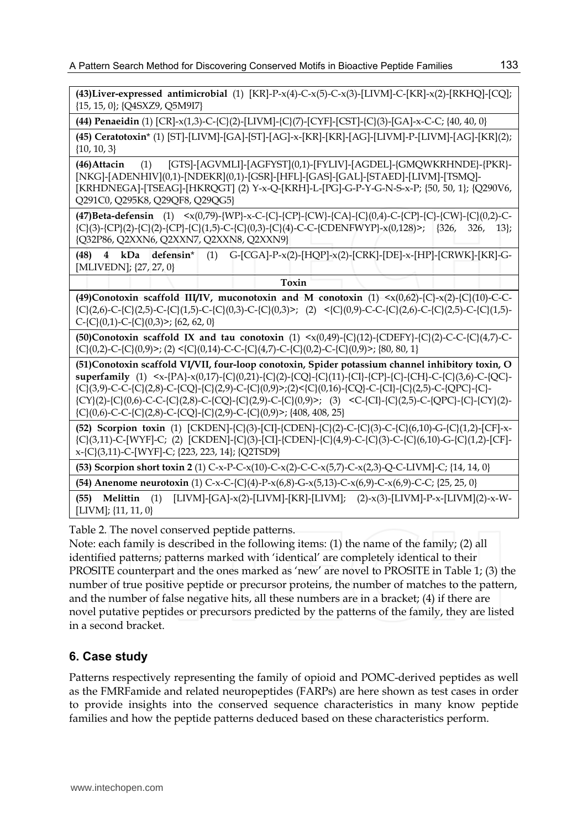**(43)Liver-expressed antimicrobial** (1) [KR]-P-x(4)-C-x(5)-C-x(3)-[LIVM]-C-[KR]-x(2)-[RKHQ]-[CQ]; {15, 15, 0}; {Q4SXZ9, Q5M9I7}

**(44) Penaeidin** (1) [CR]-x(1,3)-C-{C}(2)-[LIVM]-{C}(7)-[CYF]-[CST]-{C}(3)-[GA]-x-C-C; {40, 40, 0}

**(45) Ceratotoxin**\* (1) [ST]-[LIVM]-[GA]-[ST]-[AG]-x-[KR]-[KR]-[AG]-[LIVM]-P-[LIVM]-[AG]-[KR](2); {10, 10, 3}

**(46)Attacin** (1) [GTS]-[AGVMLI]-[AGFYST](0,1)-[FYLIV]-[AGDEL]-{GMQWKRHNDE}-{PKR}- [NKG]-[ADENHIV](0,1)-[NDEKR](0,1)-[GSR]-[HFL]-[GAS]-[GAL]-[STAED]-[LIVM]-[TSMQ]- [KRHDNEGA]-[TSEAG]-[HKRQGT] (2) Y-x-Q-[KRH]-L-[PG]-G-P-Y-G-N-S-x-P; {50, 50, 1}; {Q290V6, Q291C0, Q295K8, Q29QF8, Q29QG5}

**(47)Beta-defensin** (1) <x(0,79)-{WP}-x-C-{C}-{CP}-{CW}-{CA}-{C}(0,4)-C-{CP}-{C}-{CW}-{C}(0,2)-C-  ${C}(3)-{C}(2)-{C}(2)-{C}(2)-{C}(2)-{C}(1,5)-C-{C}(0,3)-{C}(4)-C-C-{C}DENFWYP-x(0,128)$ ; {326, 326, 13}; {Q32P86, Q2XXN6, Q2XXN7, Q2XXN8, Q2XXN9}

**(48) 4 kDa defensin**\* (1) G-[CGA]-P-x(2)-[HQP]-x(2)-[CRK]-[DE]-x-[HP]-[CRWK]-[KR]-G- [MLIVEDN]; {27, 27, 0}

**Toxin**

**(49)Conotoxin scaffold III/IV, muconotoxin and M conotoxin** (1) <x(0,62)-{C}-x(2)-{C}(10)-C-C- {C}(2,6)-C-{C}(2,5)-C-{C}(1,5)-C-{C}(0,3)-C-{C}(0,3)>; (2) <{C}(0,9)-C-C-{C}(2,6)-C-{C}(2,5)-C-{C}(1,5)- C-{C}(0,1)-C-{C}(0,3)>; {62, 62, 0}

**(50)Conotoxin scaffold IX and tau conotoxin** (1) <x(0,49)-{C}(12)-{CDEFY}-{C}(2)-C-C-{C}(4,7)-C-  ${C}(0,2)$ -C-{C}(0,9)>; (2) <{C}(0,14)-C-C-{C}(4,7)-C-{C}(0,2)-C-{C}(0,9)>; {80, 80, 1}

**(51)Conotoxin scaffold VI/VII, four-loop conotoxin, Spider potassium channel inhibitory toxin, O superfamily** (1) <x-{PA}-x(0,17)-{C}(0,21)-{C}(2)-{CQ}-{C}(11)-{CI}-{CP}-{C}-{CH}-C-{C}(3,6)-C-{QC}- {C}(3,9)-C-C-{C}(2,8)-C-{CQ}-{C}(2,9)-C-{C}(0,9)>;(2)<{C}(0,16)-{CQ}-C-{CI}-{C}(2,5)-C-{QPC}-{C}- {CY}(2)-{C}(0,6)-C-C-{C}(2,8)-C-{CQ}-{C}(2,9)-C-{C}(0,9)>; (3) <C-{CI}-{C}(2,5)-C-{QPC}-{C}-{CY}(2)- {C}(0,6)-C-C-{C}(2,8)-C-{CQ}-{C}(2,9)-C-{C}(0,9)>; {408, 408, 25}

**(52) Scorpion toxin** (1) [CKDEN]-{C}(3)-[CI]-{CDEN}-{C}(2)-C-{C}(3)-C-{C}(6,10)-G-{C}(1,2)-[CF]-x- {C}(3,11)-C-[WYF]-C; (2) [CKDEN]-{C}(3)-[CI]-{CDEN}-{C}(4,9)-C-{C}(3)-C-{C}(6,10)-G-{C}(1,2)-[CF] x-{C}(3,11)-C-[WYF]-C; {223, 223, 14}; {Q2TSD9}

**(53) Scorpion short toxin 2** (1) C-x-P-C-x(10)-C-x(2)-C-C-x(5,7)-C-x(2,3)-Q-C-LIVM]-C; {14, 14, 0}

**(54) Anenome neurotoxin** (1) C-x-C-{C}(4)-P-x(6,8)-G-x(5,13)-C-x(6,9)-C-x(6,9)-C-C; {25, 25, 0}

**(55) Melittin** (1) [LIVM]-[GA]-x(2)-[LIVM]-[KR]-[LIVM]; (2)-x(3)-[LIVM]-P-x-[LIVM](2)-x-W- [LIVM]; {11, 11, 0}

Table 2. The novel conserved peptide patterns.

Note: each family is described in the following items: (1) the name of the family; (2) all identified patterns; patterns marked with 'identical' are completely identical to their PROSITE counterpart and the ones marked as 'new' are novel to PROSITE in Table 1; (3) the number of true positive peptide or precursor proteins, the number of matches to the pattern, and the number of false negative hits, all these numbers are in a bracket; (4) if there are novel putative peptides or precursors predicted by the patterns of the family, they are listed in a second bracket.

## **6. Case study**

Patterns respectively representing the family of opioid and POMC-derived peptides as well as the FMRFamide and related neuropeptides (FARPs) are here shown as test cases in order to provide insights into the conserved sequence characteristics in many know peptide families and how the peptide patterns deduced based on these characteristics perform.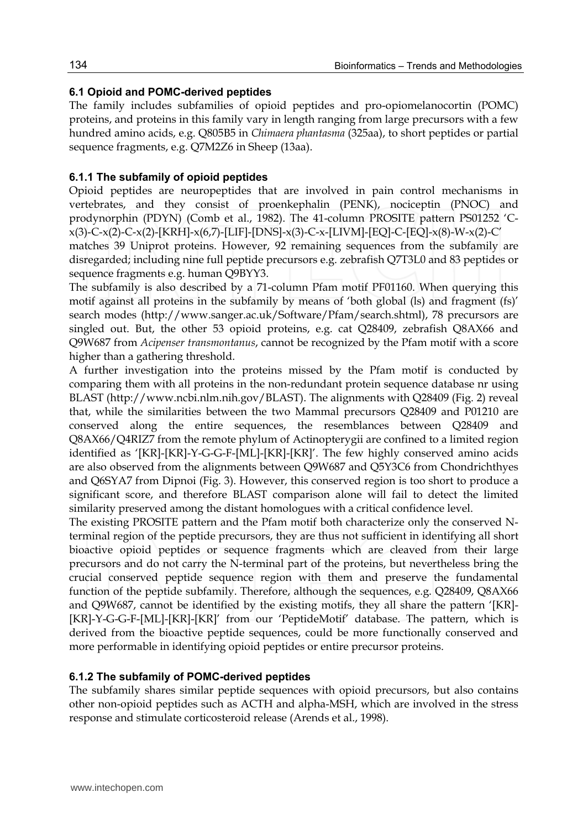## **6.1 Opioid and POMC-derived peptides**

The family includes subfamilies of opioid peptides and pro-opiomelanocortin (POMC) proteins, and proteins in this family vary in length ranging from large precursors with a few hundred amino acids, e.g. Q805B5 in *Chimaera phantasma* (325aa), to short peptides or partial sequence fragments, e.g. Q7M2Z6 in Sheep (13aa).

## **6.1.1 The subfamily of opioid peptides**

Opioid peptides are neuropeptides that are involved in pain control mechanisms in vertebrates, and they consist of proenkephalin (PENK), nociceptin (PNOC) and prodynorphin (PDYN) (Comb et al., 1982). The 41-column PROSITE pattern PS01252 'Cx(3)-C-x(2)-C-x(2)-[KRH]-x(6,7)-[LIF]-[DNS]-x(3)-C-x-[LIVM]-[EQ]-C-[EQ]-x(8)-W-x(2)-C'

matches 39 Uniprot proteins. However, 92 remaining sequences from the subfamily are disregarded; including nine full peptide precursors e.g. zebrafish Q7T3L0 and 83 peptides or sequence fragments e.g. human Q9BYY3.

The subfamily is also described by a 71-column Pfam motif PF01160. When querying this motif against all proteins in the subfamily by means of 'both global (ls) and fragment (fs)' search modes (http://www.sanger.ac.uk/Software/Pfam/search.shtml), 78 precursors are singled out. But, the other 53 opioid proteins, e.g. cat Q28409, zebrafish Q8AX66 and Q9W687 from *Acipenser transmontanus*, cannot be recognized by the Pfam motif with a score higher than a gathering threshold.

A further investigation into the proteins missed by the Pfam motif is conducted by comparing them with all proteins in the non-redundant protein sequence database nr using BLAST (http://www.ncbi.nlm.nih.gov/BLAST). The alignments with Q28409 (Fig. 2) reveal that, while the similarities between the two Mammal precursors Q28409 and P01210 are conserved along the entire sequences, the resemblances between Q28409 and Q8AX66/Q4RIZ7 from the remote phylum of Actinopterygii are confined to a limited region identified as '[KR]-[KR]-Y-G-G-F-[ML]-[KR]-[KR]'. The few highly conserved amino acids are also observed from the alignments between Q9W687 and Q5Y3C6 from Chondrichthyes and Q6SYA7 from Dipnoi (Fig. 3). However, this conserved region is too short to produce a significant score, and therefore BLAST comparison alone will fail to detect the limited similarity preserved among the distant homologues with a critical confidence level.

The existing PROSITE pattern and the Pfam motif both characterize only the conserved Nterminal region of the peptide precursors, they are thus not sufficient in identifying all short bioactive opioid peptides or sequence fragments which are cleaved from their large precursors and do not carry the N-terminal part of the proteins, but nevertheless bring the crucial conserved peptide sequence region with them and preserve the fundamental function of the peptide subfamily. Therefore, although the sequences, e.g. Q28409, Q8AX66 and Q9W687, cannot be identified by the existing motifs, they all share the pattern '[KR]- [KR]-Y-G-G-F-[ML]-[KR]-[KR]' from our 'PeptideMotif' database. The pattern, which is derived from the bioactive peptide sequences, could be more functionally conserved and more performable in identifying opioid peptides or entire precursor proteins.

## **6.1.2 The subfamily of POMC-derived peptides**

The subfamily shares similar peptide sequences with opioid precursors, but also contains other non-opioid peptides such as ACTH and alpha-MSH, which are involved in the stress response and stimulate corticosteroid release (Arends et al., 1998).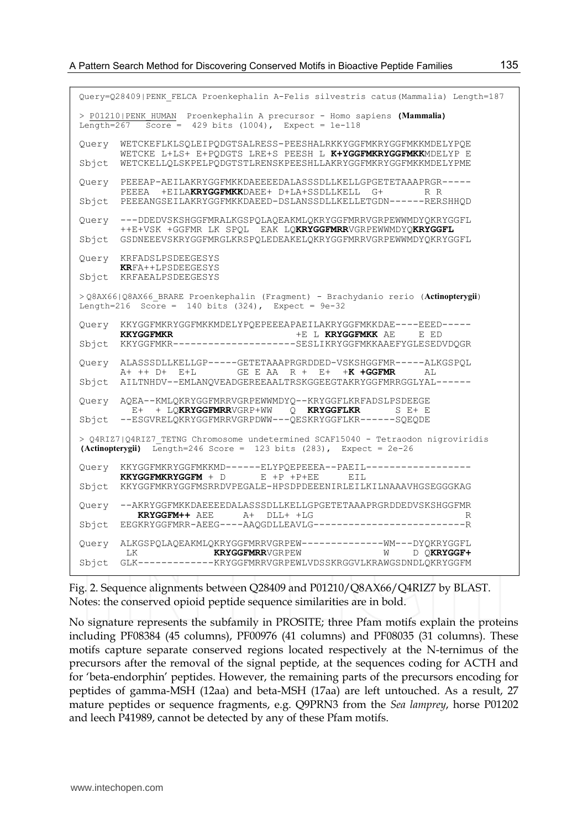Query=Q28409|PENK\_FELCA Proenkephalin A-Felis silvestris catus(Mammalia) Length=187 > P01210|PENK\_HUMAN Proenkephalin A precursor - Homo sapiens **(Mammalia)** Length=267 Score = 429 bits (1004), Expect = 1e-118 Query WETCKEFLKLSQLEIPQDGTSALRESS-PEESHALRKKYGGFMKRYGGFMKKMDELYPQE WETCKE L+LS+ E+PQDGTS LRE+S PEESH L **K+YGGFMKRYGGFMKK**MDELYP E Sbjct WETCKELLQLSKPELPQDGTSTLRENSKPEESHLLAKRYGGFMKRYGGFMKKMDELYPME Query PEEEAP-AEILAKRYGGFMKKDAEEEEDALASSSDLLKELLGPGETETAAAPRGR----- PEEEA +EILA**KRYGGFMKK**DAEE+ D+LA+SSDLLKELL G+ R R Sbjct PEEEANGSEILAKRYGGFMKKDAEED-DSLANSSDLLKELLETGDN------RERSHHQD Query ---DDEDVSKSHGGFMRALKGSPQLAQEAKMLQKRYGGFMRRVGRPEWWMDYQKRYGGFL ++E+VSK +GGFMR LK SPQL EAK LQ**KRYGGFMRR**VGRPEWWMDYQ**KRYGGFL** Sbjct GSDNEEEVSKRYGGFMRGLKRSPQLEDEAKELQKRYGGFMRRVGRPEWWMDYQKRYGGFL Query KRFADSLPSDEEGESYS **KR**FA++LPSDEEGESYS Sbjct KRFAEALPSDEEGESYS > Q8AX66|Q8AX66\_BRARE Proenkephalin (Fragment) - Brachydanio rerio (**Actinopterygii**) Length=216 Score = 140 bits  $(324)$ , Expect = 9e-32 Query KKYGGFMKRYGGFMKKMDELYPQEPEEEAPAEILAKRYGGFMKKDAE----EEED----- **KKYGGFMKR** +E L **KRYGGFMKK** AE E ED Sbjct KKYGGFMKR---------------------SESLIKRYGGFMKKAAEFYGLESEDVDQGR Query ALASSSDLLKELLGP-----GETETAAAPRGRDDED-VSKSHGGFMR-----ALKGSPQL A+ ++ D+ E+L GE E AA R + E+ +**K +GGFMR** AL Sbjct AILTNHDV--EMLANQVEADGEREEAALTRSKGGEEGTAKRYGGFMRRGGLYAL------ Query AQEA--KMLQKRYGGFMRRVGRPEWWMDYQ--KRYGGFLKRFADSLPSDEEGE E+ + LQ**KRYGGFMRR**VGRP+WW Q **KRYGGFLKR** S E+ E Sbjct --ESGVRELQKRYGGFMRRVGRPDWW---QESKRYGGFLKR------SQEQDE > Q4RIZ7|Q4RIZ7\_TETNG Chromosome undetermined SCAF15040 - Tetraodon nigroviridis **(Actinopterygii)** Length=246 Score = 123 bits (283), Expect = 2e-26 Query KKYGGFMKRYGGFMKKMD------ELYPQEPEEEA--PAEIL------------------<br>
KKYGGFMKRYGGFM + D R +P +P+RR RIL **KKYGGFMKRYGGFM** +  $D$   $E$  + $P$  + $P$ + $E$  $E$ Sbjct KKYGGFMKRYGGFMSRRDVPEGALE-HPSDPDEEENIRLEILKILNAAAVHGSEGGGKAG Query --AKRYGGFMKKDAEEEEDALASSSDLLKELLGPGETETAAAPRGRDDEDVSKSHGGFMR<br>KRYGGFM++ AEE A+ DLL+ +LG **KRYGGFM++** AEE A+ DLL+ +LG R Sbjct EEGKRYGGFMRR-AEEG----AAQGDLLEAVLG--------------------------R Query ALKGSPQLAQEAKMLQKRYGGFMRRVGRPEW---------------WM---DYQKRYGGFL<br>LK **KRYGGFMRR**VGRPEW W DQ**KRYGGF+ KRYGGFMRR**VGRPEW Sbjct GLK-------------KRYGGFMRRVGRPEWLVDSSKRGGVLKRAWGSDNDLQKRYGGFM

Fig. 2. Sequence alignments between Q28409 and P01210/Q8AX66/Q4RIZ7 by BLAST. Notes: the conserved opioid peptide sequence similarities are in bold.

No signature represents the subfamily in PROSITE; three Pfam motifs explain the proteins including PF08384 (45 columns), PF00976 (41 columns) and PF08035 (31 columns). These motifs capture separate conserved regions located respectively at the N-ternimus of the precursors after the removal of the signal peptide, at the sequences coding for ACTH and for 'beta-endorphin' peptides. However, the remaining parts of the precursors encoding for peptides of gamma-MSH (12aa) and beta-MSH (17aa) are left untouched. As a result, 27 mature peptides or sequence fragments, e.g. Q9PRN3 from the *Sea lamprey*, horse P01202 and leech P41989, cannot be detected by any of these Pfam motifs.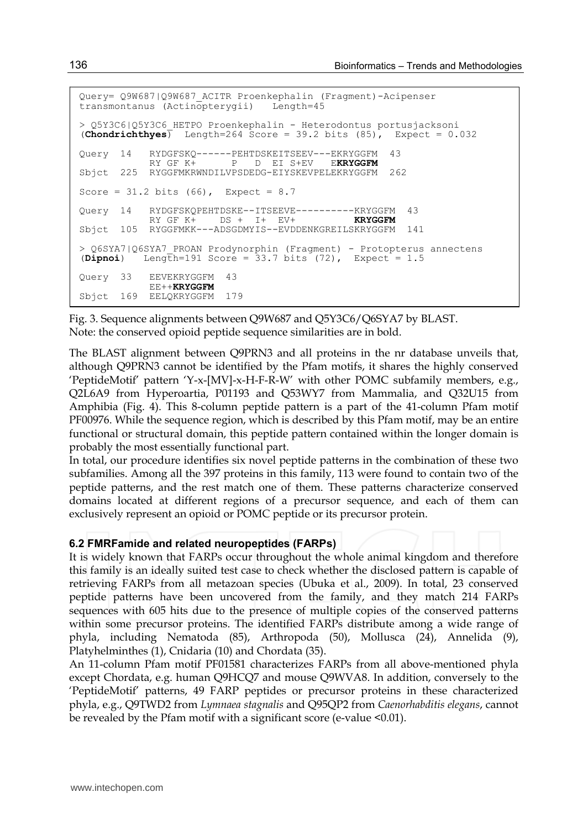```
Query= Q9W687|Q9W687_ACITR Proenkephalin (Fragment)-Acipenser 
transmontanus (Actinopterygii)
> Q5Y3C6|Q5Y3C6 HETPO Proenkephalin - Heterodontus portusjacksoni
(Chondrichthyes) Length=264 Score = 39.2 bits (85), Expect = 0.032 
Query 14 RYDGFSKQ------PEHTDSKEITSEEV---EKRYGGFM 43 
            RY GF K+ P D EI S+EV EKRYGGFM
Sbjct 225 RYGGFMKRWNDILVPSDEDG-EIYSKEVPELEKRYGGFM 262 
Score = 31.2 bits (66), Expect = 8.7Query 14 RYDGFSKQPEHTDSKE--ITSEEVE-----------KRYGGFM 43<br>RY GF K+ DS + I+ EV+ KRYGGFM
           RY GF K^+ DS + II + EV +Sbjct 105 RYGGFMKK---ADSGDMYIS--EVDDENKGREILSKRYGGFM 141 
> Q6SYA7|Q6SYA7_PROAN Prodynorphin (Fragment) - Protopterus annectens 
(Dipnoi) Length=191 Score = 33.7 bits (72), Expect = 1.5 
Query 33 EEVEKRYGGFM 43 
            EE++KRYGGFM
Sbjct 169 EELQKRYGGFM 179
```
Fig. 3. Sequence alignments between Q9W687 and Q5Y3C6/Q6SYA7 by BLAST. Note: the conserved opioid peptide sequence similarities are in bold.

The BLAST alignment between Q9PRN3 and all proteins in the nr database unveils that, although Q9PRN3 cannot be identified by the Pfam motifs, it shares the highly conserved 'PeptideMotif' pattern 'Y-x-[MV]-x-H-F-R-W' with other POMC subfamily members, e.g., Q2L6A9 from Hyperoartia, P01193 and Q53WY7 from Mammalia, and Q32U15 from Amphibia (Fig. 4). This 8-column peptide pattern is a part of the 41-column Pfam motif PF00976. While the sequence region, which is described by this Pfam motif, may be an entire functional or structural domain, this peptide pattern contained within the longer domain is probably the most essentially functional part.

In total, our procedure identifies six novel peptide patterns in the combination of these two subfamilies. Among all the 397 proteins in this family, 113 were found to contain two of the peptide patterns, and the rest match one of them. These patterns characterize conserved domains located at different regions of a precursor sequence, and each of them can exclusively represent an opioid or POMC peptide or its precursor protein.

#### **6.2 FMRFamide and related neuropeptides (FARPs)**

It is widely known that FARPs occur throughout the whole animal kingdom and therefore this family is an ideally suited test case to check whether the disclosed pattern is capable of retrieving FARPs from all metazoan species (Ubuka et al., 2009). In total, 23 conserved peptide patterns have been uncovered from the family, and they match 214 FARPs sequences with 605 hits due to the presence of multiple copies of the conserved patterns within some precursor proteins. The identified FARPs distribute among a wide range of phyla, including Nematoda (85), Arthropoda (50), Mollusca (24), Annelida (9), Platyhelminthes (1), Cnidaria (10) and Chordata (35).

An 11-column Pfam motif PF01581 characterizes FARPs from all above-mentioned phyla except Chordata, e.g. human Q9HCQ7 and mouse Q9WVA8. In addition, conversely to the 'PeptideMotif' patterns, 49 FARP peptides or precursor proteins in these characterized phyla, e.g., Q9TWD2 from *Lymnaea stagnalis* and Q95QP2 from *Caenorhabditis elegans*, cannot be revealed by the Pfam motif with a significant score (e-value <0.01).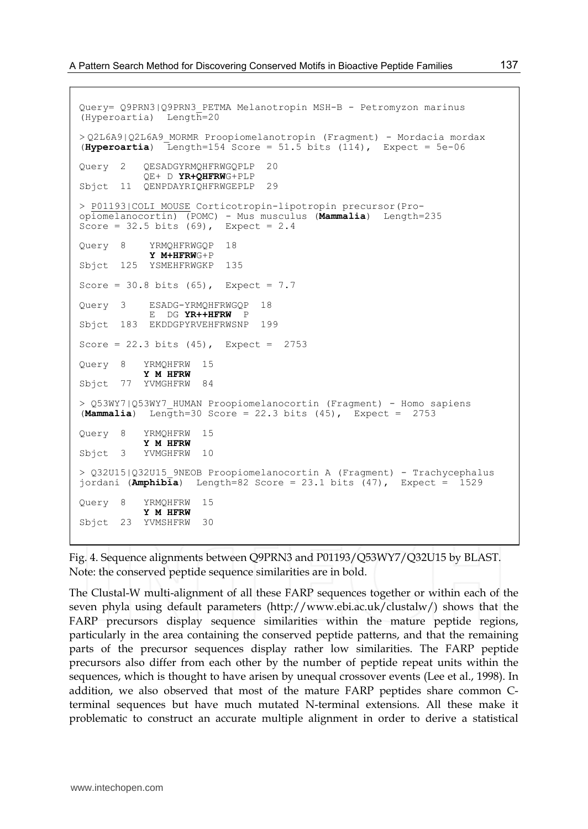Query= Q9PRN3|Q9PRN3\_PETMA Melanotropin MSH-B - Petromyzon marinus (Hyperoartia) Length=20 > Q2L6A9|Q2L6A9\_MORMR Proopiomelanotropin (Fragment) - Mordacia mordax  $(Hyperoartia)$  Length=154 Score = 51.5 bits  $(114)$ , Expect = 5e-06 Query 2 QESADGYRMQHFRWGQPLP 20 QE+ D **YR+QHFRW**G+PLP Sbjct 11 QENPDAYRIQHFRWGEPLP 29 > P01193|COLI MOUSE Corticotropin-lipotropin precursor(Proopiomelanocortin) (POMC) - Mus musculus (**Mammalia**) Length=235 Score =  $32.5 \text{ bits } (69)$ , Expect =  $2.4$ Query 8 YRMQHFRWGQP 18 **Y M+HFRW**G+P Sbjct 125 YSMEHFRWGKP 135 Score =  $30.8$  bits (65), Expect =  $7.7$ Query 3 ESADG-YRMQHFRWGQP 18 E DG **YR++HFRW** P Sbjct 183 EKDDGPYRVEHFRWSNP 199 Score =  $22.3$  bits  $(45)$ , Expect =  $2753$ Query 8 YRMQHFRW 15 **Y M HFRW**  Sbjct 77 YVMGHFRW 84 > Q53WY7|Q53WY7\_HUMAN Proopiomelanocortin (Fragment) - Homo sapiens (**Mammalia**) Length=30 Score = 22.3 bits (45), Expect = 2753 Query 8 YRMQHFRW 15 **Y M HFRW**<br>Sbjct 3 YVMGHFRW YVMGHFRW 10 > Q32U15|Q32U15\_9NEOB Proopiomelanocortin A (Fragment) - Trachycephalus jordani (**Amphibia**) Length=82 Score = 23.1 bits (47), Expect = 1529 Query 8 YRMQHFRW 15 **Y M HFRW**  Sbjct 23 YVMSHFRW 30

Fig. 4. Sequence alignments between Q9PRN3 and P01193/Q53WY7/Q32U15 by BLAST. Note: the conserved peptide sequence similarities are in bold.

The Clustal-W multi-alignment of all these FARP sequences together or within each of the seven phyla using default parameters (http://www.ebi.ac.uk/clustalw/) shows that the FARP precursors display sequence similarities within the mature peptide regions, particularly in the area containing the conserved peptide patterns, and that the remaining parts of the precursor sequences display rather low similarities. The FARP peptide precursors also differ from each other by the number of peptide repeat units within the sequences, which is thought to have arisen by unequal crossover events (Lee et al., 1998). In addition, we also observed that most of the mature FARP peptides share common Cterminal sequences but have much mutated N-terminal extensions. All these make it problematic to construct an accurate multiple alignment in order to derive a statistical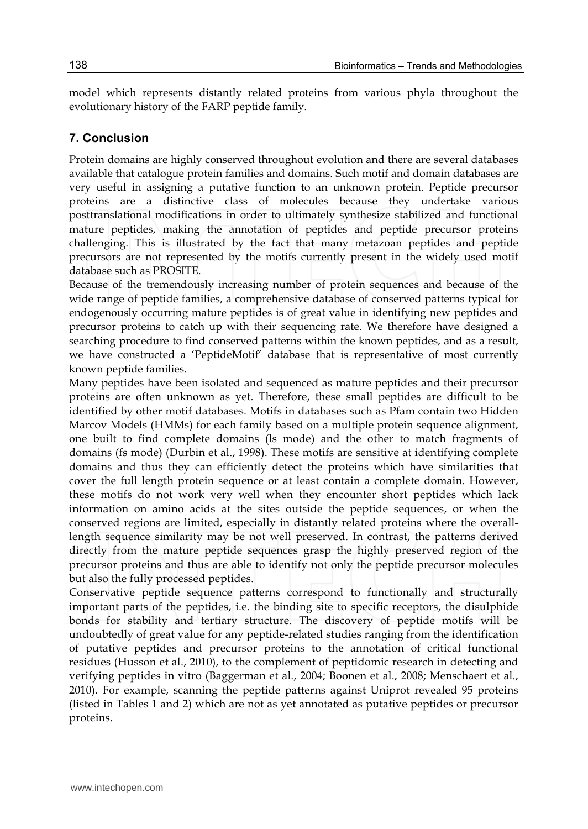model which represents distantly related proteins from various phyla throughout the evolutionary history of the FARP peptide family.

## **7. Conclusion**

Protein domains are highly conserved throughout evolution and there are several databases available that catalogue protein families and domains. Such motif and domain databases are very useful in assigning a putative function to an unknown protein. Peptide precursor proteins are a distinctive class of molecules because they undertake various posttranslational modifications in order to ultimately synthesize stabilized and functional mature peptides, making the annotation of peptides and peptide precursor proteins challenging. This is illustrated by the fact that many metazoan peptides and peptide precursors are not represented by the motifs currently present in the widely used motif database such as PROSITE.

Because of the tremendously increasing number of protein sequences and because of the wide range of peptide families, a comprehensive database of conserved patterns typical for endogenously occurring mature peptides is of great value in identifying new peptides and precursor proteins to catch up with their sequencing rate. We therefore have designed a searching procedure to find conserved patterns within the known peptides, and as a result, we have constructed a 'PeptideMotif' database that is representative of most currently known peptide families.

Many peptides have been isolated and sequenced as mature peptides and their precursor proteins are often unknown as yet. Therefore, these small peptides are difficult to be identified by other motif databases. Motifs in databases such as Pfam contain two Hidden Marcov Models (HMMs) for each family based on a multiple protein sequence alignment, one built to find complete domains (ls mode) and the other to match fragments of domains (fs mode) (Durbin et al., 1998). These motifs are sensitive at identifying complete domains and thus they can efficiently detect the proteins which have similarities that cover the full length protein sequence or at least contain a complete domain. However, these motifs do not work very well when they encounter short peptides which lack information on amino acids at the sites outside the peptide sequences, or when the conserved regions are limited, especially in distantly related proteins where the overalllength sequence similarity may be not well preserved. In contrast, the patterns derived directly from the mature peptide sequences grasp the highly preserved region of the precursor proteins and thus are able to identify not only the peptide precursor molecules but also the fully processed peptides.

Conservative peptide sequence patterns correspond to functionally and structurally important parts of the peptides, i.e. the binding site to specific receptors, the disulphide bonds for stability and tertiary structure. The discovery of peptide motifs will be undoubtedly of great value for any peptide-related studies ranging from the identification of putative peptides and precursor proteins to the annotation of critical functional residues (Husson et al., 2010), to the complement of peptidomic research in detecting and verifying peptides in vitro (Baggerman et al., 2004; Boonen et al., 2008; Menschaert et al., 2010). For example, scanning the peptide patterns against Uniprot revealed 95 proteins (listed in Tables 1 and 2) which are not as yet annotated as putative peptides or precursor proteins.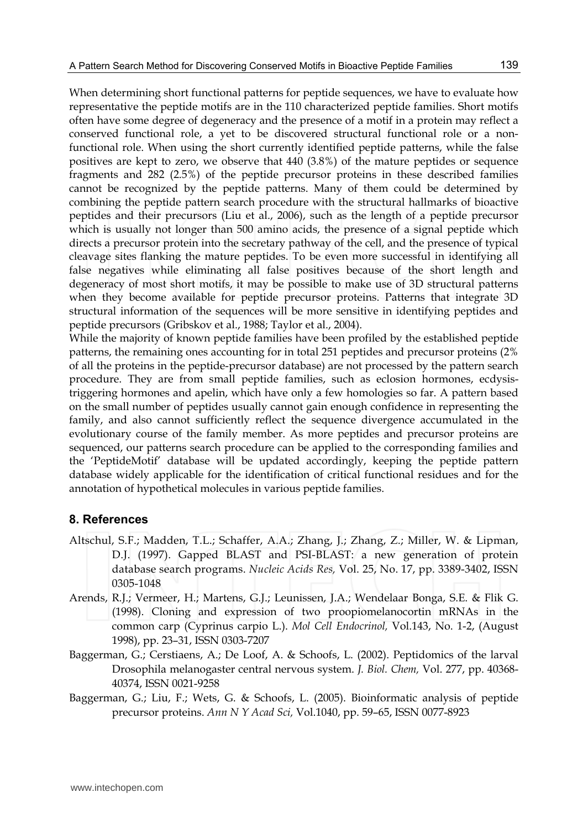When determining short functional patterns for peptide sequences, we have to evaluate how representative the peptide motifs are in the 110 characterized peptide families. Short motifs often have some degree of degeneracy and the presence of a motif in a protein may reflect a conserved functional role, a yet to be discovered structural functional role or a nonfunctional role. When using the short currently identified peptide patterns, while the false positives are kept to zero, we observe that 440 (3.8%) of the mature peptides or sequence fragments and 282 (2.5%) of the peptide precursor proteins in these described families cannot be recognized by the peptide patterns. Many of them could be determined by combining the peptide pattern search procedure with the structural hallmarks of bioactive peptides and their precursors (Liu et al., 2006), such as the length of a peptide precursor which is usually not longer than 500 amino acids, the presence of a signal peptide which directs a precursor protein into the secretary pathway of the cell, and the presence of typical cleavage sites flanking the mature peptides. To be even more successful in identifying all false negatives while eliminating all false positives because of the short length and degeneracy of most short motifs, it may be possible to make use of 3D structural patterns when they become available for peptide precursor proteins. Patterns that integrate 3D structural information of the sequences will be more sensitive in identifying peptides and peptide precursors (Gribskov et al., 1988; Taylor et al., 2004).

While the majority of known peptide families have been profiled by the established peptide patterns, the remaining ones accounting for in total 251 peptides and precursor proteins (2% of all the proteins in the peptide-precursor database) are not processed by the pattern search procedure. They are from small peptide families, such as eclosion hormones, ecdysistriggering hormones and apelin, which have only a few homologies so far. A pattern based on the small number of peptides usually cannot gain enough confidence in representing the family, and also cannot sufficiently reflect the sequence divergence accumulated in the evolutionary course of the family member. As more peptides and precursor proteins are sequenced, our patterns search procedure can be applied to the corresponding families and the 'PeptideMotif' database will be updated accordingly, keeping the peptide pattern database widely applicable for the identification of critical functional residues and for the annotation of hypothetical molecules in various peptide families.

## **8. References**

- Altschul, S.F.; Madden, T.L.; Schaffer, A.A.; Zhang, J.; Zhang, Z.; Miller, W. & Lipman, D.J. (1997). Gapped BLAST and PSI-BLAST: a new generation of protein database search programs. *Nucleic Acids Res,* Vol. 25, No. 17, pp. 3389-3402, ISSN 0305-1048
- Arends, R.J.; Vermeer, H.; Martens, G.J.; Leunissen, J.A.; Wendelaar Bonga, S.E. & Flik G. (1998). Cloning and expression of two proopiomelanocortin mRNAs in the common carp (Cyprinus carpio L.). *Mol Cell Endocrinol,* Vol.143, No. 1-2, (August 1998), pp. 23–31, ISSN 0303-7207
- Baggerman, G.; Cerstiaens, A.; De Loof, A. & Schoofs, L. (2002). Peptidomics of the larval Drosophila melanogaster central nervous system. *J. Biol. Chem,* Vol. 277, pp. 40368- 40374, ISSN 0021-9258
- Baggerman, G.; Liu, F.; Wets, G. & Schoofs, L. (2005). Bioinformatic analysis of peptide precursor proteins. *Ann N Y Acad Sci,* Vol.1040, pp. 59–65, ISSN 0077-8923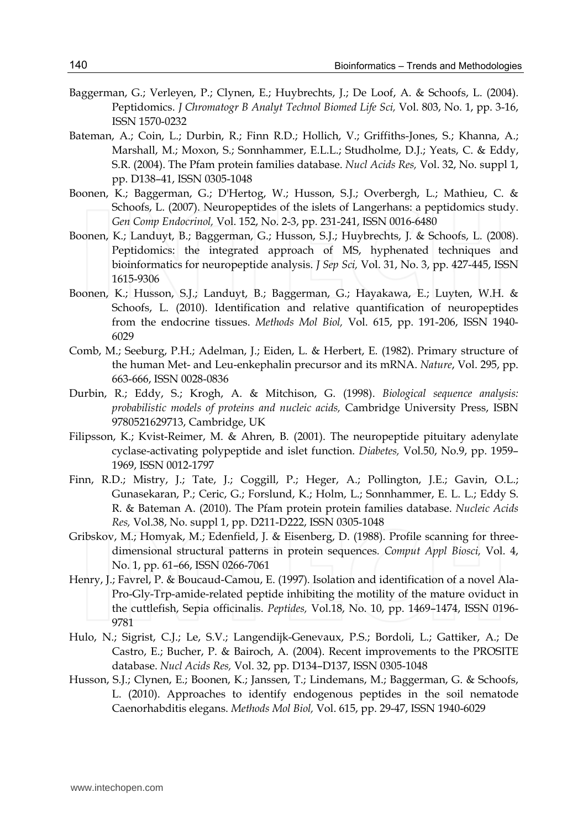- Baggerman, G.; Verleyen, P.; Clynen, E.; Huybrechts, J.; De Loof, A. & Schoofs, L. (2004). Peptidomics. *J Chromatogr B Analyt Technol Biomed Life Sci,* Vol. 803, No. 1, pp. 3-16, ISSN 1570-0232
- Bateman, A.; Coin, L.; Durbin, R.; Finn R.D.; Hollich, V.; Griffiths-Jones, S.; Khanna, A.; Marshall, M.; Moxon, S.; Sonnhammer, E.L.L.; Studholme, D.J.; Yeats, C. & Eddy, S.R. (2004). The Pfam protein families database. *Nucl Acids Res,* Vol. 32, No. suppl 1, pp. D138–41, ISSN 0305-1048
- Boonen, K.; Baggerman, G.; D'Hertog, W.; Husson, S.J.; Overbergh, L.; Mathieu, C. & Schoofs, L. (2007). Neuropeptides of the islets of Langerhans: a peptidomics study. *Gen Comp Endocrinol,* Vol. 152, No. 2-3, pp. 231-241, ISSN 0016-6480
- Boonen, K.; Landuyt, B.; Baggerman, G.; Husson, S.J.; Huybrechts, J. & Schoofs, L. (2008). Peptidomics: the integrated approach of MS, hyphenated techniques and bioinformatics for neuropeptide analysis. *J Sep Sci,* Vol. 31, No. 3, pp. 427-445, ISSN 1615-9306
- Boonen, K.; Husson, S.J.; Landuyt, B.; Baggerman, G.; Hayakawa, E.; Luyten, W.H. & Schoofs, L. (2010). Identification and relative quantification of neuropeptides from the endocrine tissues. *Methods Mol Biol,* Vol. 615, pp. 191-206, ISSN 1940- 6029
- Comb, M.; Seeburg, P.H.; Adelman, J.; Eiden, L. & Herbert, E. (1982). Primary structure of the human Met- and Leu-enkephalin precursor and its mRNA. *Nature*, Vol. 295, pp. 663-666, ISSN 0028-0836
- Durbin, R.; Eddy, S.; Krogh, A. & Mitchison, G. (1998). *Biological sequence analysis: probabilistic models of proteins and nucleic acids,* Cambridge University Press, ISBN 9780521629713, Cambridge, UK
- Filipsson, K.; Kvist-Reimer, M. & Ahren, B. (2001). The neuropeptide pituitary adenylate cyclase-activating polypeptide and islet function. *Diabetes,* Vol.50, No.9, pp. 1959– 1969, ISSN 0012-1797
- Finn, R.D.; Mistry, J.; Tate, J.; Coggill, P.; Heger, A.; Pollington, J.E.; Gavin, O.L.; Gunasekaran, P.; Ceric, G.; Forslund, K.; Holm, L.; Sonnhammer, E. L. L.; Eddy S. R. & Bateman A. (2010). The Pfam protein protein families database. *Nucleic Acids Res,* Vol.38, No. suppl 1, pp. D211-D222, ISSN 0305-1048
- Gribskov, M.; Homyak, M.; Edenfield, J. & Eisenberg, D. (1988). Profile scanning for threedimensional structural patterns in protein sequences*. Comput Appl Biosci,* Vol. 4, No. 1, pp. 61–66, ISSN 0266-7061
- Henry, J.; Favrel, P. & Boucaud-Camou, E. (1997). Isolation and identification of a novel Ala-Pro-Gly-Trp-amide-related peptide inhibiting the motility of the mature oviduct in the cuttlefish, Sepia officinalis. *Peptides,* Vol.18, No. 10, pp. 1469–1474, ISSN 0196- 9781
- Hulo, N.; Sigrist, C.J.; Le, S.V.; Langendijk-Genevaux, P.S.; Bordoli, L.; Gattiker, A.; De Castro, E.; Bucher, P. & Bairoch, A. (2004). Recent improvements to the PROSITE database. *Nucl Acids Res,* Vol. 32, pp. D134–D137, ISSN 0305-1048
- Husson, S.J.; Clynen, E.; Boonen, K.; Janssen, T.; Lindemans, M.; Baggerman, G. & Schoofs, L. (2010). Approaches to identify endogenous peptides in the soil nematode Caenorhabditis elegans. *Methods Mol Biol,* Vol. 615, pp. 29-47, ISSN 1940-6029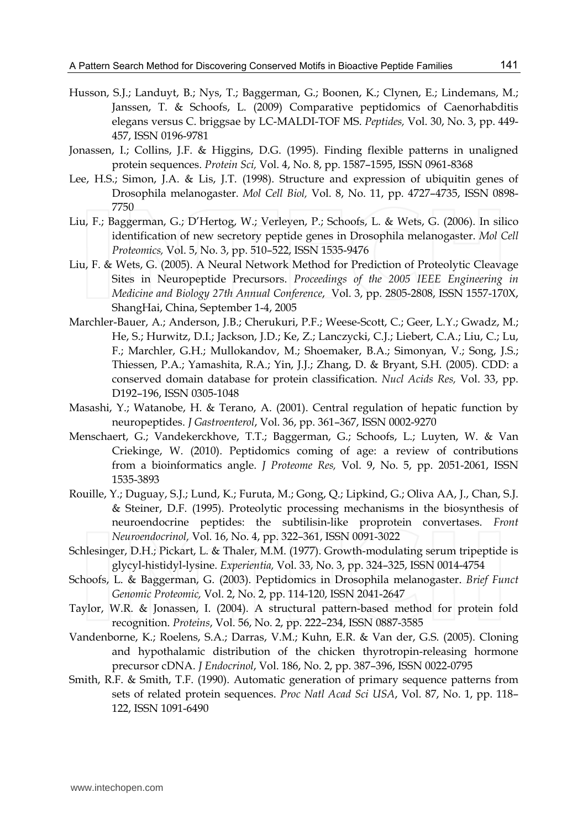- Husson, S.J.; Landuyt, B.; Nys, T.; Baggerman, G.; Boonen, K.; Clynen, E.; Lindemans, M.; Janssen, T. & Schoofs, L. (2009) Comparative peptidomics of Caenorhabditis elegans versus C. briggsae by LC-MALDI-TOF MS. *Peptides,* Vol. 30, No. 3, pp. 449- 457, ISSN 0196-9781
- Jonassen, I.; Collins, J.F. & Higgins, D.G. (1995). Finding flexible patterns in unaligned protein sequences. *Protein Sci,* Vol. 4, No. 8, pp. 1587–1595, ISSN 0961-8368
- Lee, H.S.; Simon, J.A. & Lis, J.T. (1998). Structure and expression of ubiquitin genes of Drosophila melanogaster. *Mol Cell Biol,* Vol. 8, No. 11, pp. 4727–4735, ISSN 0898- 7750
- Liu, F.; Baggerman, G.; D'Hertog, W.; Verleyen, P.; Schoofs, L. & Wets, G. (2006). In silico identification of new secretory peptide genes in Drosophila melanogaster. *Mol Cell Proteomics,* Vol. 5, No. 3, pp. 510–522, ISSN 1535-9476
- Liu, F. & Wets, G. (2005). A Neural Network Method for Prediction of Proteolytic Cleavage Sites in Neuropeptide Precursors. *Proceedings of the 2005 IEEE Engineering in Medicine and Biology 27th Annual Conference*, Vol. 3, pp. 2805-2808, ISSN 1557-170X, ShangHai, China, September 1-4, 2005
- Marchler-Bauer, A.; Anderson, J.B.; Cherukuri, P.F.; Weese-Scott, C.; Geer, L.Y.; Gwadz, M.; He, S.; Hurwitz, D.I.; Jackson, J.D.; Ke, Z.; Lanczycki, C.J.; Liebert, C.A.; Liu, C.; Lu, F.; Marchler, G.H.; Mullokandov, M.; Shoemaker, B.A.; Simonyan, V.; Song, J.S.; Thiessen, P.A.; Yamashita, R.A.; Yin, J.J.; Zhang, D. & Bryant, S.H. (2005). CDD: a conserved domain database for protein classification. *Nucl Acids Res,* Vol. 33, pp. D192–196, ISSN 0305-1048
- Masashi, Y.; Watanobe, H. & Terano, A. (2001). Central regulation of hepatic function by neuropeptides. *J Gastroenterol*, Vol. 36, pp. 361–367, ISSN 0002-9270
- Menschaert, G.; Vandekerckhove, T.T.; Baggerman, G.; Schoofs, L.; Luyten, W. & Van Criekinge, W. (2010). Peptidomics coming of age: a review of contributions from a bioinformatics angle. *J Proteome Res,* Vol. 9, No. 5, pp. 2051-2061, ISSN 1535-3893
- Rouille, Y.; Duguay, S.J.; Lund, K.; Furuta, M.; Gong, Q.; Lipkind, G.; Oliva AA, J., Chan, S.J. & Steiner, D.F. (1995). Proteolytic processing mechanisms in the biosynthesis of neuroendocrine peptides: the subtilisin-like proprotein convertases. *Front Neuroendocrinol,* Vol. 16, No. 4, pp. 322–361, ISSN 0091-3022
- Schlesinger, D.H.; Pickart, L. & Thaler, M.M. (1977). Growth-modulating serum tripeptide is glycyl-histidyl-lysine. *Experientia,* Vol. 33, No. 3, pp. 324–325, ISSN 0014-4754
- Schoofs, L. & Baggerman, G. (2003). Peptidomics in Drosophila melanogaster. *Brief Funct Genomic Proteomic,* Vol. 2, No. 2, pp. 114-120, ISSN 2041-2647
- Taylor, W.R. & Jonassen, I. (2004). A structural pattern-based method for protein fold recognition. *Proteins*, Vol. 56, No. 2, pp. 222–234, ISSN 0887-3585
- Vandenborne, K.; Roelens, S.A.; Darras, V.M.; Kuhn, E.R. & Van der, G.S. (2005). Cloning and hypothalamic distribution of the chicken thyrotropin-releasing hormone precursor cDNA. *J Endocrinol*, Vol. 186, No. 2, pp. 387–396, ISSN 0022-0795
- Smith, R.F. & Smith, T.F. (1990). Automatic generation of primary sequence patterns from sets of related protein sequences. *Proc Natl Acad Sci USA*, Vol. 87, No. 1, pp. 118– 122, ISSN 1091-6490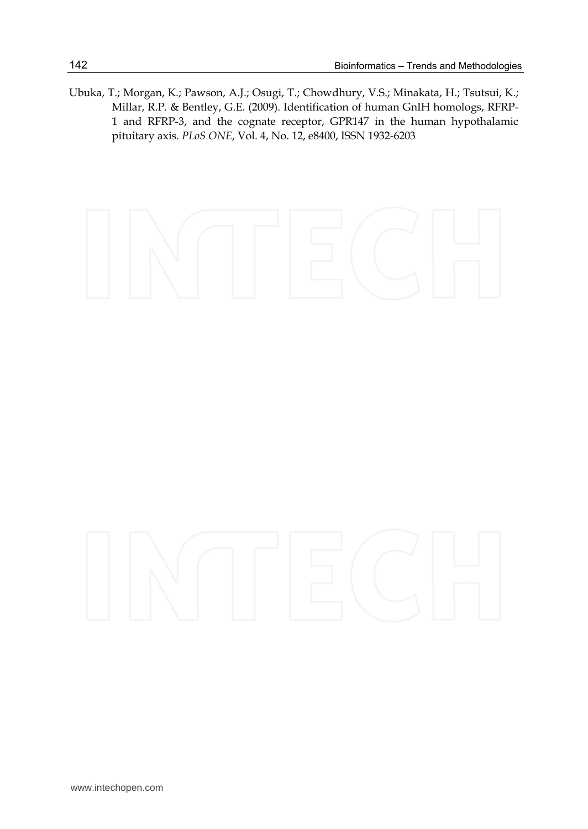Ubuka, T.; Morgan, K.; Pawson, A.J.; Osugi, T.; Chowdhury, V.S.; Minakata, H.; Tsutsui, K.; Millar, R.P. & Bentley, G.E. (2009). Identification of human GnIH homologs, RFRP-1 and RFRP-3, and the cognate receptor, GPR147 in the human hypothalamic pituitary axis. *PLoS ONE*, Vol. 4, No. 12, e8400, ISSN 1932-6203